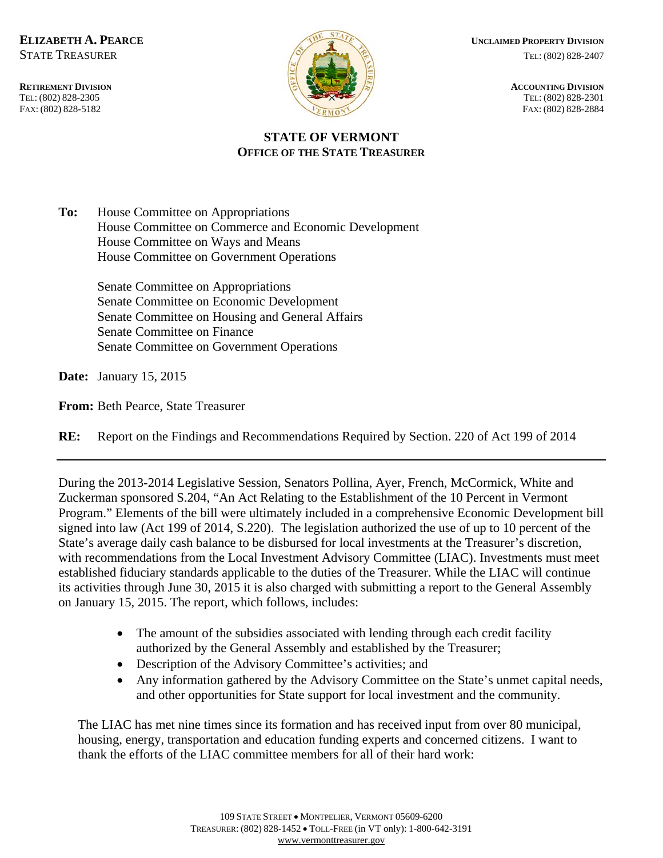TEL: (802) 828-2305<br>FAX: (802) 828-5182



**ELIZABETH A. PEARCE** *UNCLAIMED PROPERTY DIVISION*  $STATE TREASURER$  TEL: (802) 828-2407

FAX: (802) 828-2884

# **STATE OF VERMONT OFFICE OF THE STATE TREASURER**

**To:** House Committee on Appropriations House Committee on Commerce and Economic Development House Committee on Ways and Means House Committee on Government Operations

> Senate Committee on Appropriations Senate Committee on Economic Development Senate Committee on Housing and General Affairs Senate Committee on Finance Senate Committee on Government Operations

**Date:** January 15, 2015

**From:** Beth Pearce, State Treasurer

**RE:** Report on the Findings and Recommendations Required by Section. 220 of Act 199 of 2014

During the 2013-2014 Legislative Session, Senators Pollina, Ayer, French, McCormick, White and Zuckerman sponsored S.204, "An Act Relating to the Establishment of the 10 Percent in Vermont Program." Elements of the bill were ultimately included in a comprehensive Economic Development bill signed into law (Act 199 of 2014, S.220). The legislation authorized the use of up to 10 percent of the State's average daily cash balance to be disbursed for local investments at the Treasurer's discretion, with recommendations from the Local Investment Advisory Committee (LIAC). Investments must meet established fiduciary standards applicable to the duties of the Treasurer. While the LIAC will continue its activities through June 30, 2015 it is also charged with submitting a report to the General Assembly on January 15, 2015. The report, which follows, includes:

- The amount of the subsidies associated with lending through each credit facility authorized by the General Assembly and established by the Treasurer;
- Description of the Advisory Committee's activities; and
- Any information gathered by the Advisory Committee on the State's unmet capital needs, and other opportunities for State support for local investment and the community.

The LIAC has met nine times since its formation and has received input from over 80 municipal, housing, energy, transportation and education funding experts and concerned citizens. I want to thank the efforts of the LIAC committee members for all of their hard work: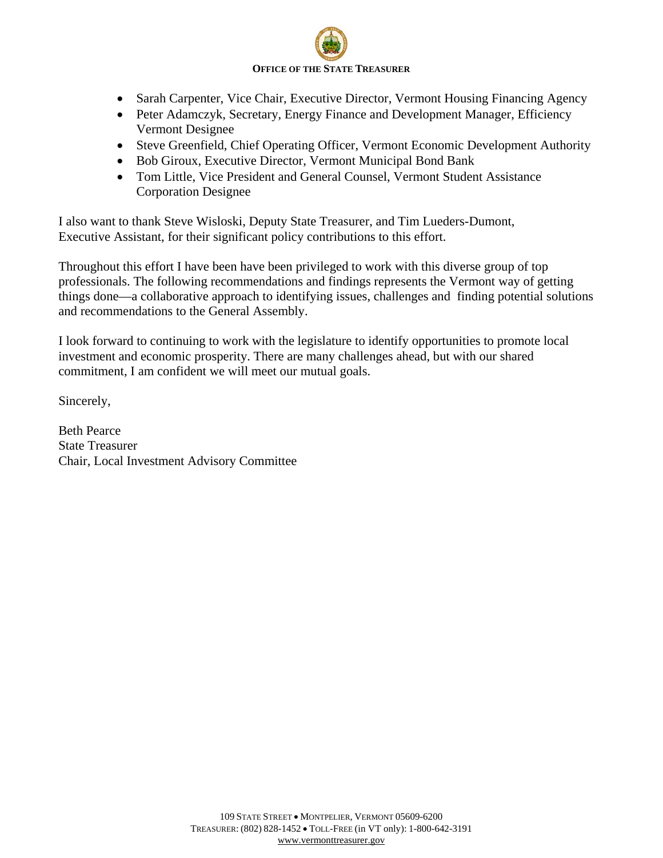# **OFFICE OF THE STATE TREASURER**

- Sarah Carpenter, Vice Chair, Executive Director, Vermont Housing Financing Agency
- Peter Adamczyk, Secretary, Energy Finance and Development Manager, Efficiency Vermont Designee
- Steve Greenfield, Chief Operating Officer, Vermont Economic Development Authority
- Bob Giroux, Executive Director, Vermont Municipal Bond Bank
- Tom Little, Vice President and General Counsel, Vermont Student Assistance Corporation Designee

I also want to thank Steve Wisloski, Deputy State Treasurer, and Tim Lueders-Dumont, Executive Assistant, for their significant policy contributions to this effort.

Throughout this effort I have been have been privileged to work with this diverse group of top professionals. The following recommendations and findings represents the Vermont way of getting things done—a collaborative approach to identifying issues, challenges and finding potential solutions and recommendations to the General Assembly.

I look forward to continuing to work with the legislature to identify opportunities to promote local investment and economic prosperity. There are many challenges ahead, but with our shared commitment, I am confident we will meet our mutual goals.

Sincerely,

Beth Pearce State Treasurer Chair, Local Investment Advisory Committee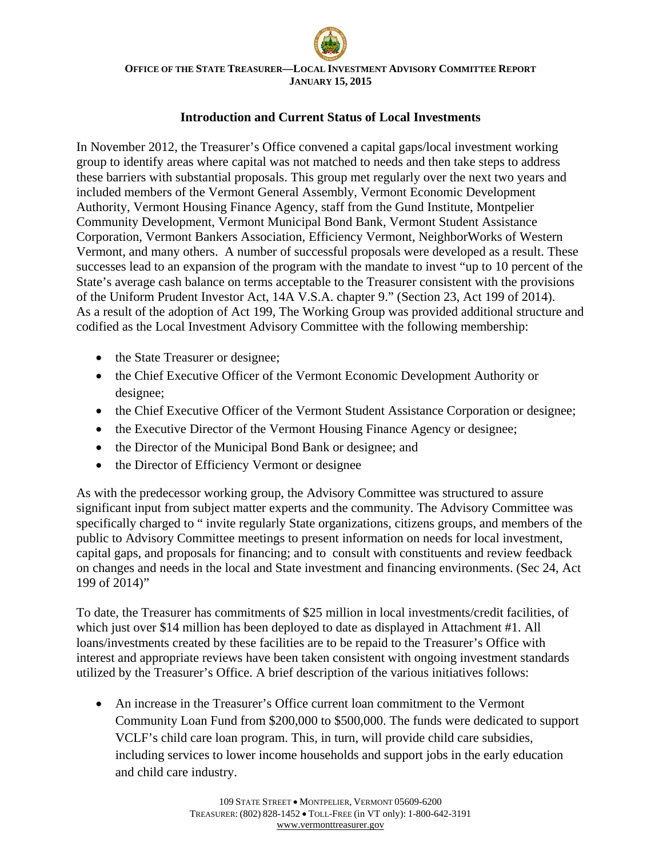# **Introduction and Current Status of Local Investments**

In November 2012, the Treasurer's Office convened a capital gaps/local investment working group to identify areas where capital was not matched to needs and then take steps to address these barriers with substantial proposals. This group met regularly over the next two years and included members of the Vermont General Assembly, Vermont Economic Development Authority, Vermont Housing Finance Agency, staff from the Gund Institute, Montpelier Community Development, Vermont Municipal Bond Bank, Vermont Student Assistance Corporation, Vermont Bankers Association, Efficiency Vermont, NeighborWorks of Western Vermont, and many others. A number of successful proposals were developed as a result. These successes lead to an expansion of the program with the mandate to invest "up to 10 percent of the State's average cash balance on terms acceptable to the Treasurer consistent with the provisions of the Uniform Prudent Investor Act, 14A V.S.A. chapter 9." (Section 23, Act 199 of 2014). As a result of the adoption of Act 199, The Working Group was provided additional structure and codified as the Local Investment Advisory Committee with the following membership:

- the State Treasurer or designee;
- the Chief Executive Officer of the Vermont Economic Development Authority or designee;
- the Chief Executive Officer of the Vermont Student Assistance Corporation or designee;
- the Executive Director of the Vermont Housing Finance Agency or designee;
- the Director of the Municipal Bond Bank or designee; and
- the Director of Efficiency Vermont or designee

As with the predecessor working group, the Advisory Committee was structured to assure significant input from subject matter experts and the community. The Advisory Committee was specifically charged to " invite regularly State organizations, citizens groups, and members of the public to Advisory Committee meetings to present information on needs for local investment, capital gaps, and proposals for financing; and to consult with constituents and review feedback on changes and needs in the local and State investment and financing environments. (Sec 24, Act 199 of 2014)"

To date, the Treasurer has commitments of \$25 million in local investments/credit facilities, of which just over \$14 million has been deployed to date as displayed in Attachment #1. All loans/investments created by these facilities are to be repaid to the Treasurer's Office with interest and appropriate reviews have been taken consistent with ongoing investment standards utilized by the Treasurer's Office. A brief description of the various initiatives follows:

• An increase in the Treasurer's Office current loan commitment to the Vermont Community Loan Fund from \$200,000 to \$500,000. The funds were dedicated to support VCLF's child care loan program. This, in turn, will provide child care subsidies, including services to lower income households and support jobs in the early education and child care industry.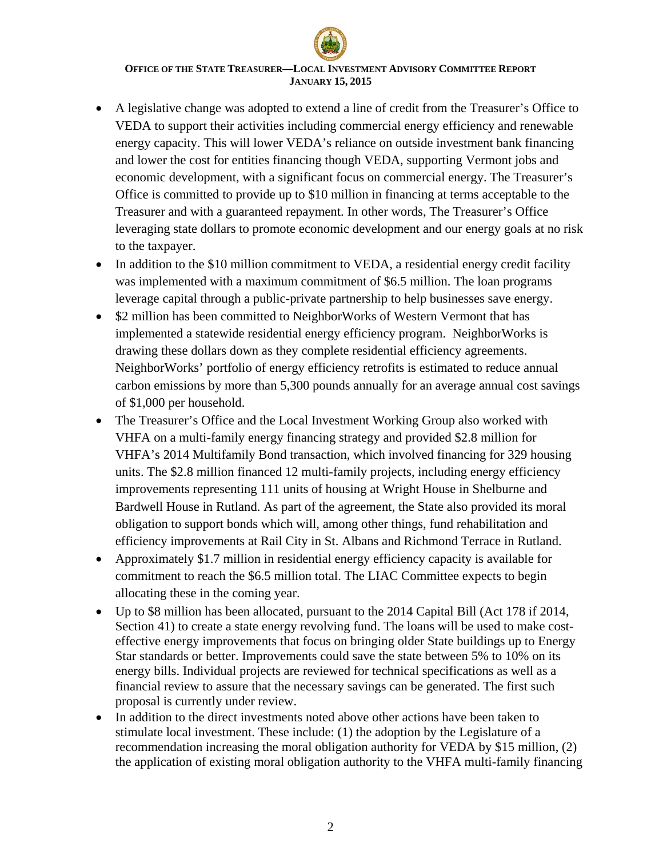- A legislative change was adopted to extend a line of credit from the Treasurer's Office to VEDA to support their activities including commercial energy efficiency and renewable energy capacity. This will lower VEDA's reliance on outside investment bank financing and lower the cost for entities financing though VEDA, supporting Vermont jobs and economic development, with a significant focus on commercial energy. The Treasurer's Office is committed to provide up to \$10 million in financing at terms acceptable to the Treasurer and with a guaranteed repayment. In other words, The Treasurer's Office leveraging state dollars to promote economic development and our energy goals at no risk to the taxpayer.
- In addition to the \$10 million commitment to VEDA, a residential energy credit facility was implemented with a maximum commitment of \$6.5 million. The loan programs leverage capital through a public-private partnership to help businesses save energy.
- \$2 million has been committed to NeighborWorks of Western Vermont that has implemented a statewide residential energy efficiency program. NeighborWorks is drawing these dollars down as they complete residential efficiency agreements. NeighborWorks' portfolio of energy efficiency retrofits is estimated to reduce annual carbon emissions by more than 5,300 pounds annually for an average annual cost savings of \$1,000 per household.
- The Treasurer's Office and the Local Investment Working Group also worked with VHFA on a multi-family energy financing strategy and provided \$2.8 million for VHFA's 2014 Multifamily Bond transaction, which involved financing for 329 housing units. The \$2.8 million financed 12 multi-family projects, including energy efficiency improvements representing 111 units of housing at Wright House in Shelburne and Bardwell House in Rutland. As part of the agreement, the State also provided its moral obligation to support bonds which will, among other things, fund rehabilitation and efficiency improvements at Rail City in St. Albans and Richmond Terrace in Rutland.
- Approximately \$1.7 million in residential energy efficiency capacity is available for commitment to reach the \$6.5 million total. The LIAC Committee expects to begin allocating these in the coming year.
- Up to \$8 million has been allocated, pursuant to the 2014 Capital Bill (Act 178 if 2014, Section 41) to create a state energy revolving fund. The loans will be used to make costeffective energy improvements that focus on bringing older State buildings up to Energy Star standards or better. Improvements could save the state between 5% to 10% on its energy bills. Individual projects are reviewed for technical specifications as well as a financial review to assure that the necessary savings can be generated. The first such proposal is currently under review.
- In addition to the direct investments noted above other actions have been taken to stimulate local investment. These include: (1) the adoption by the Legislature of a recommendation increasing the moral obligation authority for VEDA by \$15 million, (2) the application of existing moral obligation authority to the VHFA multi-family financing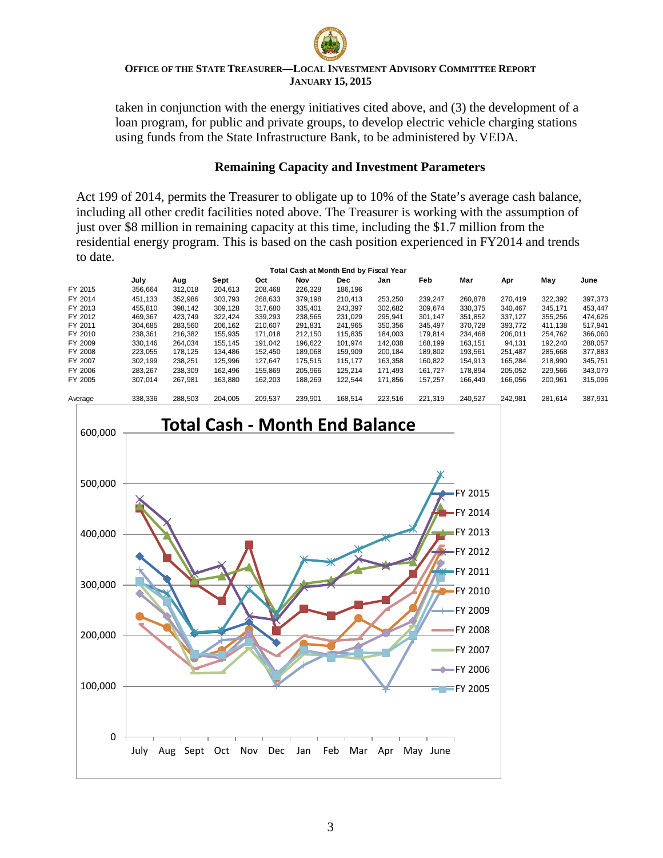

taken in conjunction with the energy initiatives cited above, and (3) the development of a loan program, for public and private groups, to develop electric vehicle charging stations using funds from the State Infrastructure Bank, to be administered by VEDA.

## **Remaining Capacity and Investment Parameters**

Act 199 of 2014, permits the Treasurer to obligate up to 10% of the State's average cash balance, including all other credit facilities noted above. The Treasurer is working with the assumption of just over \$8 million in remaining capacity at this time, including the \$1.7 million from the residential energy program. This is based on the cash position experienced in FY2014 and trends to date.

|         |         |         |         |         |         | Total Cash at Month End by Fiscal Year |         |         |         |         |         |         |
|---------|---------|---------|---------|---------|---------|----------------------------------------|---------|---------|---------|---------|---------|---------|
|         | July    | Aug     | Sept    | Oct     | Nov     | <b>Dec</b>                             | Jan     | Feb     | Mar     | Apr     | May     | June    |
| FY 2015 | 356.664 | 312.018 | 204.613 | 208.468 | 226.328 | 186,196                                |         |         |         |         |         |         |
| FY 2014 | 451.133 | 352.986 | 303.793 | 268,633 | 379.198 | 210,413                                | 253.250 | 239,247 | 260,878 | 270.419 | 322,392 | 397,373 |
| FY 2013 | 455.810 | 398.142 | 309.128 | 317.680 | 335.401 | 243.397                                | 302.682 | 309.674 | 330.375 | 340.467 | 345.171 | 453.447 |
| FY 2012 | 469.367 | 423.749 | 322.424 | 339,293 | 238,565 | 231.029                                | 295,941 | 301,147 | 351,852 | 337,127 | 355,256 | 474,626 |
| FY 2011 | 304.685 | 283.560 | 206.162 | 210.607 | 291.831 | 241.965                                | 350,356 | 345.497 | 370.728 | 393.772 | 411.138 | 517.941 |
| FY 2010 | 238.361 | 216.382 | 155.935 | 171.018 | 212.150 | 115.835                                | 184.003 | 179.814 | 234.468 | 206.011 | 254.762 | 366,060 |
| FY 2009 | 330,146 | 264.034 | 155.145 | 191.042 | 196,622 | 101,974                                | 142,038 | 168,199 | 163,151 | 94,131  | 192,240 | 288,057 |
| FY 2008 | 223.055 | 178.125 | 134.486 | 152.450 | 189.068 | 159.909                                | 200.184 | 189.802 | 193.561 | 251.487 | 285,668 | 377,883 |
| FY 2007 | 302.199 | 238.251 | 125,996 | 127.647 | 175.515 | 115.177                                | 163,358 | 160,822 | 154.913 | 165.284 | 218.990 | 345,751 |
| FY 2006 | 283.267 | 238.309 | 162.496 | 155.869 | 205.966 | 125.214                                | 171.493 | 161.727 | 178.894 | 205.052 | 229.566 | 343,079 |
| FY 2005 | 307.014 | 267.981 | 163.880 | 162.203 | 188.269 | 122.544                                | 171.856 | 157.257 | 166.449 | 166.056 | 200.961 | 315.096 |
| Average | 338.336 | 288.503 | 204.005 | 209.537 | 239.901 | 168.514                                | 223.516 | 221.319 | 240.527 | 242.981 | 281.614 | 387,931 |

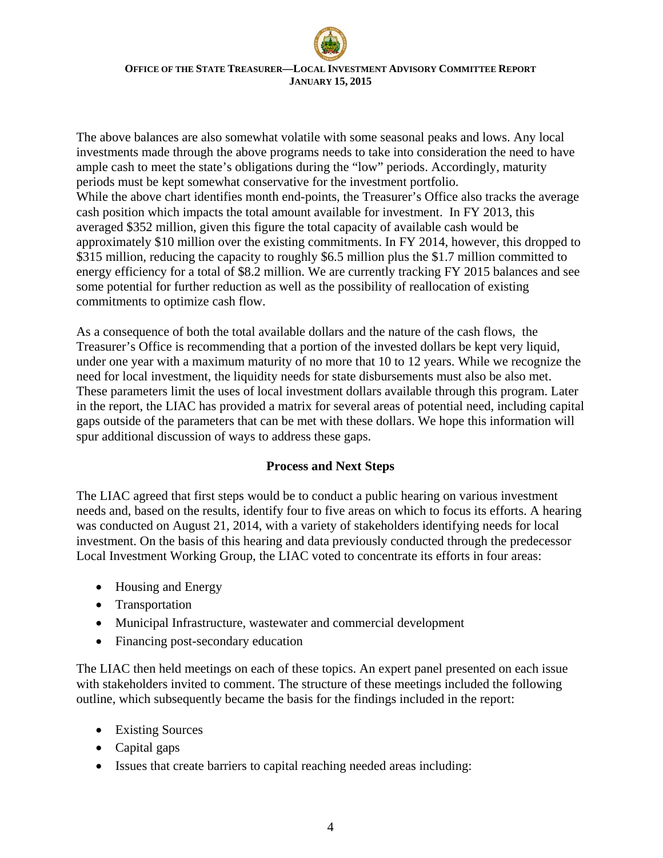The above balances are also somewhat volatile with some seasonal peaks and lows. Any local investments made through the above programs needs to take into consideration the need to have ample cash to meet the state's obligations during the "low" periods. Accordingly, maturity periods must be kept somewhat conservative for the investment portfolio. While the above chart identifies month end-points, the Treasurer's Office also tracks the average cash position which impacts the total amount available for investment. In FY 2013, this averaged \$352 million, given this figure the total capacity of available cash would be approximately \$10 million over the existing commitments. In FY 2014, however, this dropped to \$315 million, reducing the capacity to roughly \$6.5 million plus the \$1.7 million committed to energy efficiency for a total of \$8.2 million. We are currently tracking FY 2015 balances and see some potential for further reduction as well as the possibility of reallocation of existing commitments to optimize cash flow.

As a consequence of both the total available dollars and the nature of the cash flows, the Treasurer's Office is recommending that a portion of the invested dollars be kept very liquid, under one year with a maximum maturity of no more that 10 to 12 years. While we recognize the need for local investment, the liquidity needs for state disbursements must also be also met. These parameters limit the uses of local investment dollars available through this program. Later in the report, the LIAC has provided a matrix for several areas of potential need, including capital gaps outside of the parameters that can be met with these dollars. We hope this information will spur additional discussion of ways to address these gaps.

# **Process and Next Steps**

The LIAC agreed that first steps would be to conduct a public hearing on various investment needs and, based on the results, identify four to five areas on which to focus its efforts. A hearing was conducted on August 21, 2014, with a variety of stakeholders identifying needs for local investment. On the basis of this hearing and data previously conducted through the predecessor Local Investment Working Group, the LIAC voted to concentrate its efforts in four areas:

- Housing and Energy
- Transportation
- Municipal Infrastructure, wastewater and commercial development
- Financing post-secondary education

The LIAC then held meetings on each of these topics. An expert panel presented on each issue with stakeholders invited to comment. The structure of these meetings included the following outline, which subsequently became the basis for the findings included in the report:

- Existing Sources
- Capital gaps
- Issues that create barriers to capital reaching needed areas including: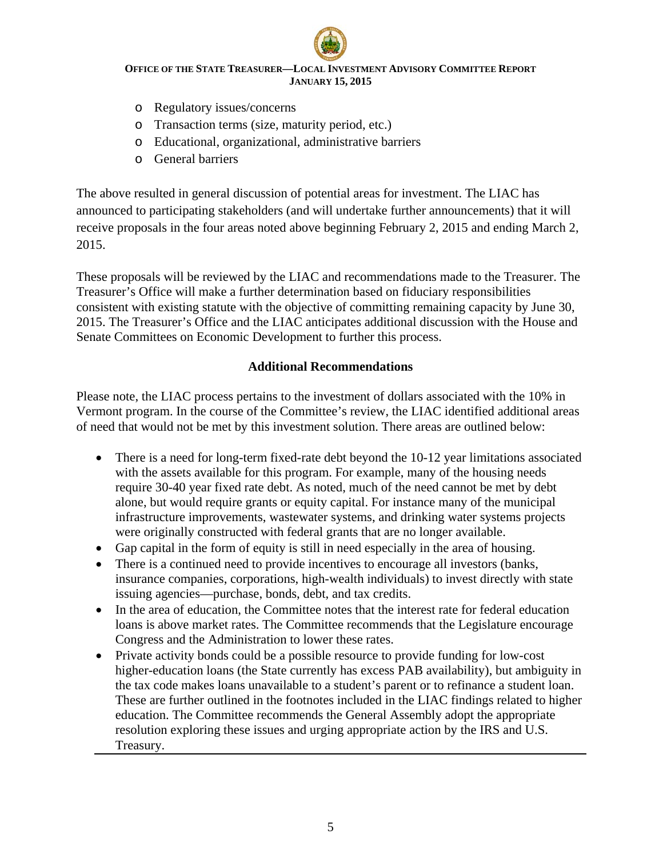- o Regulatory issues/concerns
- o Transaction terms (size, maturity period, etc.)
- o Educational, organizational, administrative barriers
- o General barriers

The above resulted in general discussion of potential areas for investment. The LIAC has announced to participating stakeholders (and will undertake further announcements) that it will receive proposals in the four areas noted above beginning February 2, 2015 and ending March 2, 2015.

These proposals will be reviewed by the LIAC and recommendations made to the Treasurer. The Treasurer's Office will make a further determination based on fiduciary responsibilities consistent with existing statute with the objective of committing remaining capacity by June 30, 2015. The Treasurer's Office and the LIAC anticipates additional discussion with the House and Senate Committees on Economic Development to further this process.

# **Additional Recommendations**

Please note, the LIAC process pertains to the investment of dollars associated with the 10% in Vermont program. In the course of the Committee's review, the LIAC identified additional areas of need that would not be met by this investment solution. There areas are outlined below:

- There is a need for long-term fixed-rate debt beyond the 10-12 year limitations associated with the assets available for this program. For example, many of the housing needs require 30-40 year fixed rate debt. As noted, much of the need cannot be met by debt alone, but would require grants or equity capital. For instance many of the municipal infrastructure improvements, wastewater systems, and drinking water systems projects were originally constructed with federal grants that are no longer available.
- Gap capital in the form of equity is still in need especially in the area of housing.
- There is a continued need to provide incentives to encourage all investors (banks, insurance companies, corporations, high-wealth individuals) to invest directly with state issuing agencies—purchase, bonds, debt, and tax credits.
- In the area of education, the Committee notes that the interest rate for federal education loans is above market rates. The Committee recommends that the Legislature encourage Congress and the Administration to lower these rates.
- Private activity bonds could be a possible resource to provide funding for low-cost higher-education loans (the State currently has excess PAB availability), but ambiguity in the tax code makes loans unavailable to a student's parent or to refinance a student loan. These are further outlined in the footnotes included in the LIAC findings related to higher education. The Committee recommends the General Assembly adopt the appropriate resolution exploring these issues and urging appropriate action by the IRS and U.S. Treasury.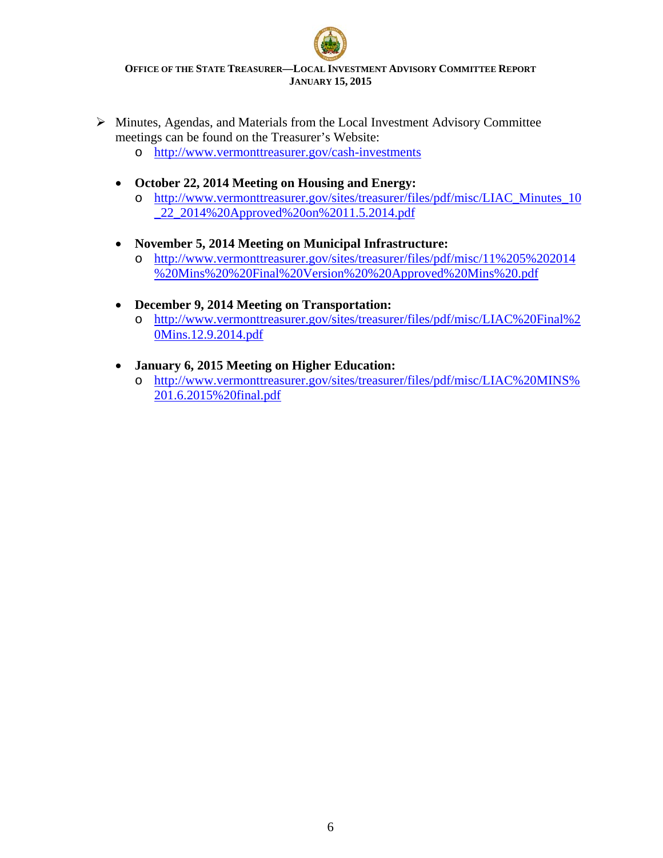- $\triangleright$  Minutes, Agendas, and Materials from the Local Investment Advisory Committee meetings can be found on the Treasurer's Website:
	- o <http://www.vermonttreasurer.gov/cash-investments>
	- **October 22, 2014 Meeting on Housing and Energy:**
		- o [http://www.vermonttreasurer.gov/sites/treasurer/files/pdf/misc/LIAC\\_Minutes\\_10](http://www.vermonttreasurer.gov/sites/treasurer/files/pdf/misc/LIAC_Minutes_10_22_2014%20Approved%20on%2011.5.2014.pdf) [\\_22\\_2014%20Approved%20on%2011.5.2014.pdf](http://www.vermonttreasurer.gov/sites/treasurer/files/pdf/misc/LIAC_Minutes_10_22_2014%20Approved%20on%2011.5.2014.pdf)
	- **November 5, 2014 Meeting on Municipal Infrastructure:**
		- o [http://www.vermonttreasurer.gov/sites/treasurer/files/pdf/misc/11%205%202014](http://www.vermonttreasurer.gov/sites/treasurer/files/pdf/misc/11%205%202014%20Mins%20%20Final%20Version%20%20Approved%20Mins%20.pdf) [%20Mins%20%20Final%20Version%20%20Approved%20Mins%20.pdf](http://www.vermonttreasurer.gov/sites/treasurer/files/pdf/misc/11%205%202014%20Mins%20%20Final%20Version%20%20Approved%20Mins%20.pdf)
	- **December 9, 2014 Meeting on Transportation:**
		- o [http://www.vermonttreasurer.gov/sites/treasurer/files/pdf/misc/LIAC%20Final%2](http://www.vermonttreasurer.gov/sites/treasurer/files/pdf/misc/LIAC%20Final%20Mins.12.9.2014.pdf) [0Mins.12.9.2014.pdf](http://www.vermonttreasurer.gov/sites/treasurer/files/pdf/misc/LIAC%20Final%20Mins.12.9.2014.pdf)
	- **January 6, 2015 Meeting on Higher Education:** 
		- o [http://www.vermonttreasurer.gov/sites/treasurer/files/pdf/misc/LIAC%20MINS%](http://www.vermonttreasurer.gov/sites/treasurer/files/pdf/misc/LIAC%20MINS%201.6.2015%20final.pdf) [201.6.2015%20final.pdf](http://www.vermonttreasurer.gov/sites/treasurer/files/pdf/misc/LIAC%20MINS%201.6.2015%20final.pdf)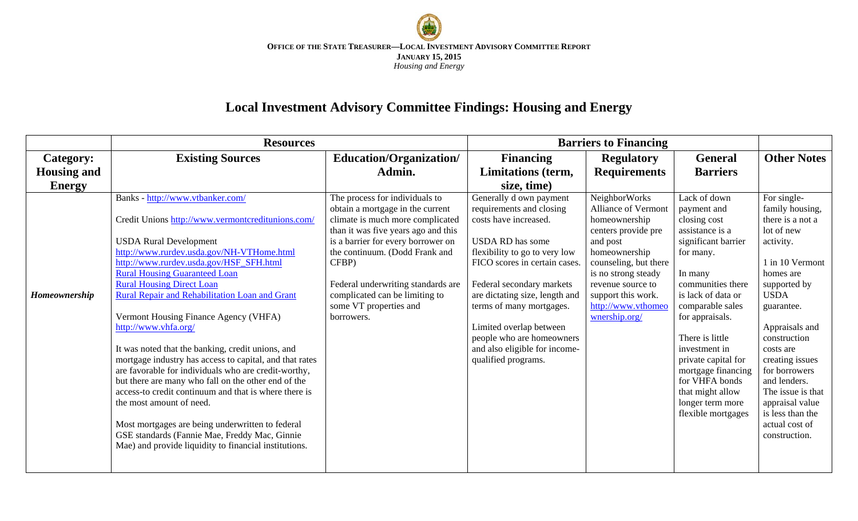

# **Local Investment Advisory Committee Findings: Housing and Energy**

|                    | <b>Resources</b>                                                                                                                                                                                                                                                                                                                                                                                                                                                                                                                                                                                                                                                                                                                                                                                                                                                                                |                                                                                                                                                                                                                                                                                                                                                |                                                                                                                                                                                                                                                                                                                                                                               | <b>Barriers to Financing</b>                                                                                                                                                                                                                |                                                                                                                                                                                                                                                                                                                                                                  |                                                                                                                                                                                                                                                                                                                                                              |
|--------------------|-------------------------------------------------------------------------------------------------------------------------------------------------------------------------------------------------------------------------------------------------------------------------------------------------------------------------------------------------------------------------------------------------------------------------------------------------------------------------------------------------------------------------------------------------------------------------------------------------------------------------------------------------------------------------------------------------------------------------------------------------------------------------------------------------------------------------------------------------------------------------------------------------|------------------------------------------------------------------------------------------------------------------------------------------------------------------------------------------------------------------------------------------------------------------------------------------------------------------------------------------------|-------------------------------------------------------------------------------------------------------------------------------------------------------------------------------------------------------------------------------------------------------------------------------------------------------------------------------------------------------------------------------|---------------------------------------------------------------------------------------------------------------------------------------------------------------------------------------------------------------------------------------------|------------------------------------------------------------------------------------------------------------------------------------------------------------------------------------------------------------------------------------------------------------------------------------------------------------------------------------------------------------------|--------------------------------------------------------------------------------------------------------------------------------------------------------------------------------------------------------------------------------------------------------------------------------------------------------------------------------------------------------------|
| <b>Category:</b>   | <b>Existing Sources</b>                                                                                                                                                                                                                                                                                                                                                                                                                                                                                                                                                                                                                                                                                                                                                                                                                                                                         | Education/Organization/                                                                                                                                                                                                                                                                                                                        | <b>Financing</b>                                                                                                                                                                                                                                                                                                                                                              | <b>Regulatory</b>                                                                                                                                                                                                                           | <b>General</b>                                                                                                                                                                                                                                                                                                                                                   | <b>Other Notes</b>                                                                                                                                                                                                                                                                                                                                           |
| <b>Housing and</b> |                                                                                                                                                                                                                                                                                                                                                                                                                                                                                                                                                                                                                                                                                                                                                                                                                                                                                                 | Admin.                                                                                                                                                                                                                                                                                                                                         | Limitations (term,                                                                                                                                                                                                                                                                                                                                                            | <b>Requirements</b>                                                                                                                                                                                                                         | <b>Barriers</b>                                                                                                                                                                                                                                                                                                                                                  |                                                                                                                                                                                                                                                                                                                                                              |
| <b>Energy</b>      |                                                                                                                                                                                                                                                                                                                                                                                                                                                                                                                                                                                                                                                                                                                                                                                                                                                                                                 |                                                                                                                                                                                                                                                                                                                                                | size, time)                                                                                                                                                                                                                                                                                                                                                                   |                                                                                                                                                                                                                                             |                                                                                                                                                                                                                                                                                                                                                                  |                                                                                                                                                                                                                                                                                                                                                              |
| Homeownership      | Banks - http://www.vtbanker.com/<br>Credit Unions http://www.vermontcreditunions.com/<br><b>USDA Rural Development</b><br>http://www.rurdev.usda.gov/NH-VTHome.html<br>http://www.rurdev.usda.gov/HSF_SFH.html<br><b>Rural Housing Guaranteed Loan</b><br><b>Rural Housing Direct Loan</b><br>Rural Repair and Rehabilitation Loan and Grant<br>Vermont Housing Finance Agency (VHFA)<br>http://www.vhfa.org/<br>It was noted that the banking, credit unions, and<br>mortgage industry has access to capital, and that rates<br>are favorable for individuals who are credit-worthy,<br>but there are many who fall on the other end of the<br>access-to credit continuum and that is where there is<br>the most amount of need.<br>Most mortgages are being underwritten to federal<br>GSE standards (Fannie Mae, Freddy Mac, Ginnie<br>Mae) and provide liquidity to financial institutions. | The process for individuals to<br>obtain a mortgage in the current<br>climate is much more complicated<br>than it was five years ago and this<br>is a barrier for every borrower on<br>the continuum. (Dodd Frank and<br>CFBP)<br>Federal underwriting standards are<br>complicated can be limiting to<br>some VT properties and<br>borrowers. | Generally d own payment<br>requirements and closing<br>costs have increased.<br>USDA RD has some<br>flexibility to go to very low<br>FICO scores in certain cases.<br>Federal secondary markets<br>are dictating size, length and<br>terms of many mortgages.<br>Limited overlap between<br>people who are homeowners<br>and also eligible for income-<br>qualified programs. | NeighborWorks<br>Alliance of Vermont<br>homeownership<br>centers provide pre<br>and post<br>homeownership<br>counseling, but there<br>is no strong steady<br>revenue source to<br>support this work.<br>http://www.vthomec<br>wnership.org/ | Lack of down<br>payment and<br>closing cost<br>assistance is a<br>significant barrier<br>for many.<br>In many<br>communities there<br>is lack of data or<br>comparable sales<br>for appraisals.<br>There is little<br>investment in<br>private capital for<br>mortgage financing<br>for VHFA bonds<br>that might allow<br>longer term more<br>flexible mortgages | For single-<br>family housing,<br>there is a not a<br>lot of new<br>activity.<br>1 in 10 Vermont<br>homes are<br>supported by<br><b>USDA</b><br>guarantee.<br>Appraisals and<br>construction<br>costs are<br>creating issues<br>for borrowers<br>and lenders.<br>The issue is that<br>appraisal value<br>is less than the<br>actual cost of<br>construction. |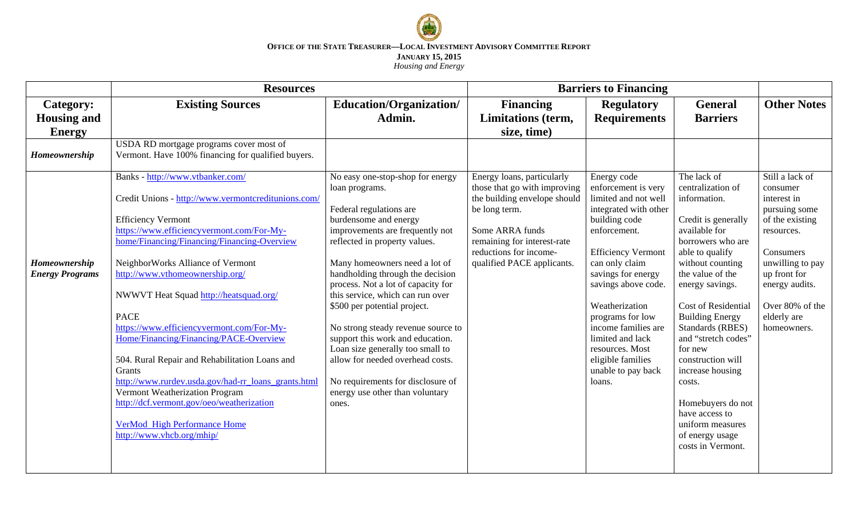

|                        | <b>Resources</b>                                    |                                                                      | <b>Barriers to Financing</b> |                                        |                                |                                  |
|------------------------|-----------------------------------------------------|----------------------------------------------------------------------|------------------------------|----------------------------------------|--------------------------------|----------------------------------|
| Category:              | <b>Existing Sources</b>                             | Education/Organization/                                              | <b>Financing</b>             | <b>Regulatory</b>                      | <b>General</b>                 | <b>Other Notes</b>               |
| <b>Housing and</b>     |                                                     | Admin.                                                               | <b>Limitations</b> (term,    | <b>Requirements</b>                    | <b>Barriers</b>                |                                  |
| <b>Energy</b>          |                                                     |                                                                      | size, time)                  |                                        |                                |                                  |
|                        | USDA RD mortgage programs cover most of             |                                                                      |                              |                                        |                                |                                  |
| Homeownership          | Vermont. Have 100% financing for qualified buyers.  |                                                                      |                              |                                        |                                |                                  |
|                        | Banks - http://www.vtbanker.com/                    | No easy one-stop-shop for energy                                     | Energy loans, particularly   | Energy code                            | The lack of                    | Still a lack of                  |
|                        |                                                     | loan programs.                                                       | those that go with improving | enforcement is very                    | centralization of              | consumer                         |
|                        | Credit Unions - http://www.vermontcreditunions.com/ |                                                                      | the building envelope should | limited and not well                   | information.                   | interest in                      |
|                        | <b>Efficiency Vermont</b>                           | Federal regulations are<br>burdensome and energy                     | be long term.                | integrated with other<br>building code | Credit is generally            | pursuing some<br>of the existing |
|                        | https://www.efficiencyvermont.com/For-My-           | improvements are frequently not                                      | Some ARRA funds              | enforcement.                           | available for                  | resources.                       |
|                        | home/Financing/Financing/Financing-Overview         | reflected in property values.                                        | remaining for interest-rate  |                                        | borrowers who are              |                                  |
|                        |                                                     |                                                                      | reductions for income-       | <b>Efficiency Vermont</b>              | able to qualify                | Consumers                        |
| Homeownership          | NeighborWorks Alliance of Vermont                   | Many homeowners need a lot of                                        | qualified PACE applicants.   | can only claim                         | without counting               | unwilling to pay                 |
| <b>Energy Programs</b> | http://www.vthomeownership.org/                     | handholding through the decision                                     |                              | savings for energy                     | the value of the               | up front for                     |
|                        |                                                     | process. Not a lot of capacity for                                   |                              | savings above code.                    | energy savings.                | energy audits.                   |
|                        | NWWVT Heat Squad http://heatsquad.org/              | this service, which can run over                                     |                              |                                        |                                |                                  |
|                        |                                                     | \$500 per potential project.                                         |                              | Weatherization                         | Cost of Residential            | Over 80% of the                  |
|                        | <b>PACE</b>                                         |                                                                      |                              | programs for low                       | <b>Building Energy</b>         | elderly are                      |
|                        | https://www.efficiencyvermont.com/For-My-           | No strong steady revenue source to                                   |                              | income families are                    | Standards (RBES)               | homeowners.                      |
|                        | Home/Financing/Financing/PACE-Overview              | support this work and education.                                     |                              | limited and lack<br>resources. Most    | and "stretch codes"<br>for new |                                  |
|                        | 504. Rural Repair and Rehabilitation Loans and      | Loan size generally too small to<br>allow for needed overhead costs. |                              | eligible families                      | construction will              |                                  |
|                        | Grants                                              |                                                                      |                              | unable to pay back                     | increase housing               |                                  |
|                        | http://www.rurdev.usda.gov/had-rr loans grants.html | No requirements for disclosure of                                    |                              | loans.                                 | costs.                         |                                  |
|                        | Vermont Weatherization Program                      | energy use other than voluntary                                      |                              |                                        |                                |                                  |
|                        | http://dcf.vermont.gov/oeo/weatherization           | ones.                                                                |                              |                                        | Homebuyers do not              |                                  |
|                        |                                                     |                                                                      |                              |                                        | have access to                 |                                  |
|                        | VerMod High Performance Home                        |                                                                      |                              |                                        | uniform measures               |                                  |
|                        | http://www.vhcb.org/mhip/                           |                                                                      |                              |                                        | of energy usage                |                                  |
|                        |                                                     |                                                                      |                              |                                        | costs in Vermont.              |                                  |
|                        |                                                     |                                                                      |                              |                                        |                                |                                  |
|                        |                                                     |                                                                      |                              |                                        |                                |                                  |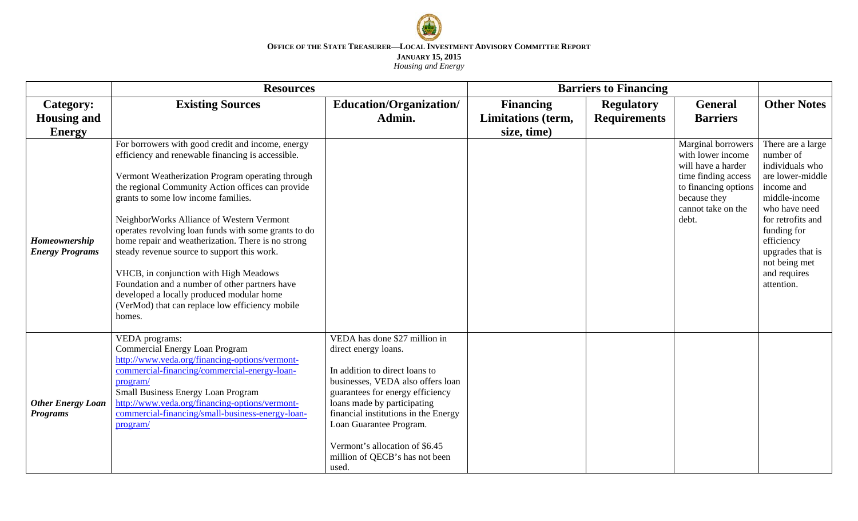

|                                                          | <b>Resources</b>                                                                                                                                                                                                                                                                                                                                                                                                                                                                                                                                                                                                                                                       |                                                                                                                                                                                                                                                                                                                                                 | <b>Barriers to Financing</b>                  |                                          |                                                                                                                                                                    |                                                                                                                                                                                                                                            |
|----------------------------------------------------------|------------------------------------------------------------------------------------------------------------------------------------------------------------------------------------------------------------------------------------------------------------------------------------------------------------------------------------------------------------------------------------------------------------------------------------------------------------------------------------------------------------------------------------------------------------------------------------------------------------------------------------------------------------------------|-------------------------------------------------------------------------------------------------------------------------------------------------------------------------------------------------------------------------------------------------------------------------------------------------------------------------------------------------|-----------------------------------------------|------------------------------------------|--------------------------------------------------------------------------------------------------------------------------------------------------------------------|--------------------------------------------------------------------------------------------------------------------------------------------------------------------------------------------------------------------------------------------|
| Category:<br><b>Housing and</b>                          | <b>Existing Sources</b>                                                                                                                                                                                                                                                                                                                                                                                                                                                                                                                                                                                                                                                | Education/Organization/<br>Admin.                                                                                                                                                                                                                                                                                                               | <b>Financing</b><br><b>Limitations</b> (term, | <b>Regulatory</b><br><b>Requirements</b> | <b>General</b><br><b>Barriers</b>                                                                                                                                  | <b>Other Notes</b>                                                                                                                                                                                                                         |
| <b>Energy</b><br>Homeownership<br><b>Energy Programs</b> | For borrowers with good credit and income, energy<br>efficiency and renewable financing is accessible.<br>Vermont Weatherization Program operating through<br>the regional Community Action offices can provide<br>grants to some low income families.<br>NeighborWorks Alliance of Western Vermont<br>operates revolving loan funds with some grants to do<br>home repair and weatherization. There is no strong<br>steady revenue source to support this work.<br>VHCB, in conjunction with High Meadows<br>Foundation and a number of other partners have<br>developed a locally produced modular home<br>(VerMod) that can replace low efficiency mobile<br>homes. |                                                                                                                                                                                                                                                                                                                                                 | size, time)                                   |                                          | <b>Marginal borrowers</b><br>with lower income<br>will have a harder<br>time finding access<br>to financing options<br>because they<br>cannot take on the<br>debt. | There are a large<br>number of<br>individuals who<br>are lower-middle<br>income and<br>middle-income<br>who have need<br>for retrofits and<br>funding for<br>efficiency<br>upgrades that is<br>not being met<br>and requires<br>attention. |
| <b>Other Energy Loan</b><br><b>Programs</b>              | VEDA programs:<br><b>Commercial Energy Loan Program</b><br>http://www.veda.org/financing-options/vermont-<br>commercial-financing/commercial-energy-loan-<br>program/<br>Small Business Energy Loan Program<br>http://www.veda.org/financing-options/vermont-<br>commercial-financing/small-business-energy-loan-<br>program/                                                                                                                                                                                                                                                                                                                                          | VEDA has done \$27 million in<br>direct energy loans.<br>In addition to direct loans to<br>businesses, VEDA also offers loan<br>guarantees for energy efficiency<br>loans made by participating<br>financial institutions in the Energy<br>Loan Guarantee Program.<br>Vermont's allocation of \$6.45<br>million of QECB's has not been<br>used. |                                               |                                          |                                                                                                                                                                    |                                                                                                                                                                                                                                            |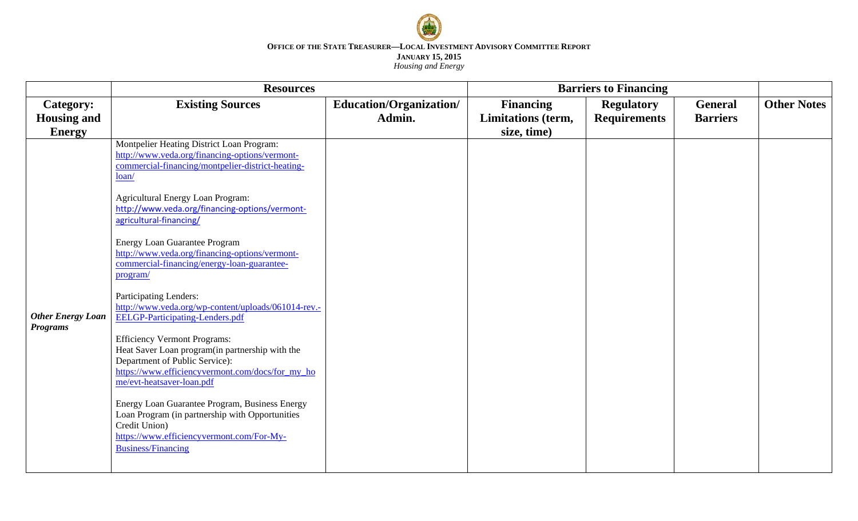

|                                             | <b>Resources</b>                                                                                                                                                                                          | <b>Barriers to Financing</b> |                    |                     |                 |                    |
|---------------------------------------------|-----------------------------------------------------------------------------------------------------------------------------------------------------------------------------------------------------------|------------------------------|--------------------|---------------------|-----------------|--------------------|
| Category:                                   | <b>Existing Sources</b>                                                                                                                                                                                   | Education/Organization/      | <b>Financing</b>   | <b>Regulatory</b>   | <b>General</b>  | <b>Other Notes</b> |
| <b>Housing and</b>                          |                                                                                                                                                                                                           | Admin.                       | Limitations (term, | <b>Requirements</b> | <b>Barriers</b> |                    |
| <b>Energy</b>                               |                                                                                                                                                                                                           |                              | size, time)        |                     |                 |                    |
|                                             | Montpelier Heating District Loan Program:<br>http://www.veda.org/financing-options/vermont-<br>commercial-financing/montpelier-district-heating-<br>loan/                                                 |                              |                    |                     |                 |                    |
|                                             | <b>Agricultural Energy Loan Program:</b><br>http://www.veda.org/financing-options/vermont-<br>agricultural-financing/                                                                                     |                              |                    |                     |                 |                    |
|                                             | <b>Energy Loan Guarantee Program</b><br>http://www.veda.org/financing-options/vermont-<br>commercial-financing/energy-loan-guarantee-<br>program/                                                         |                              |                    |                     |                 |                    |
| <b>Other Energy Loan</b><br><b>Programs</b> | Participating Lenders:<br>http://www.veda.org/wp-content/uploads/061014-rev.-<br><b>EELGP-Participating-Lenders.pdf</b>                                                                                   |                              |                    |                     |                 |                    |
|                                             | <b>Efficiency Vermont Programs:</b><br>Heat Saver Loan program(in partnership with the<br>Department of Public Service):<br>https://www.efficiencyvermont.com/docs/for_my_ho<br>me/evt-heatsaver-loan.pdf |                              |                    |                     |                 |                    |
|                                             | Energy Loan Guarantee Program, Business Energy<br>Loan Program (in partnership with Opportunities<br>Credit Union)<br>https://www.efficiencyvermont.com/For-My-<br><b>Business/Financing</b>              |                              |                    |                     |                 |                    |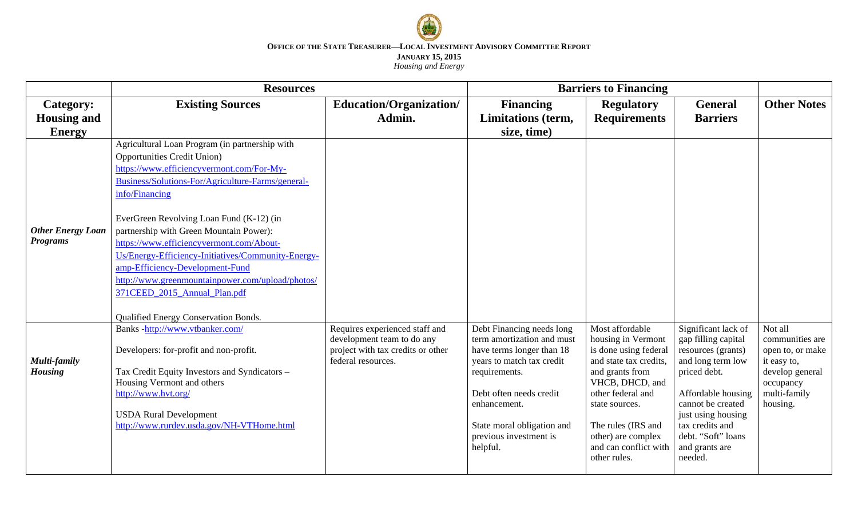

|                                             | <b>Resources</b>                                                                                                                                                                                                                                                                                                                                                                                                                                                                                                                                                 |                                                                                                                         | <b>Barriers to Financing</b>                                                                                                                                                                                                                      |                                                                                                                                                                                                                                                            |                                                                                                                                                                                                                                              |                                                                                                                           |
|---------------------------------------------|------------------------------------------------------------------------------------------------------------------------------------------------------------------------------------------------------------------------------------------------------------------------------------------------------------------------------------------------------------------------------------------------------------------------------------------------------------------------------------------------------------------------------------------------------------------|-------------------------------------------------------------------------------------------------------------------------|---------------------------------------------------------------------------------------------------------------------------------------------------------------------------------------------------------------------------------------------------|------------------------------------------------------------------------------------------------------------------------------------------------------------------------------------------------------------------------------------------------------------|----------------------------------------------------------------------------------------------------------------------------------------------------------------------------------------------------------------------------------------------|---------------------------------------------------------------------------------------------------------------------------|
| Category:                                   | <b>Existing Sources</b>                                                                                                                                                                                                                                                                                                                                                                                                                                                                                                                                          | <b>Education/Organization/</b>                                                                                          | <b>Financing</b>                                                                                                                                                                                                                                  | <b>Regulatory</b>                                                                                                                                                                                                                                          | <b>General</b>                                                                                                                                                                                                                               | <b>Other Notes</b>                                                                                                        |
| <b>Housing and</b>                          |                                                                                                                                                                                                                                                                                                                                                                                                                                                                                                                                                                  | Admin.                                                                                                                  | <b>Limitations</b> (term,                                                                                                                                                                                                                         | <b>Requirements</b>                                                                                                                                                                                                                                        | <b>Barriers</b>                                                                                                                                                                                                                              |                                                                                                                           |
| <b>Energy</b>                               |                                                                                                                                                                                                                                                                                                                                                                                                                                                                                                                                                                  |                                                                                                                         | size, time)                                                                                                                                                                                                                                       |                                                                                                                                                                                                                                                            |                                                                                                                                                                                                                                              |                                                                                                                           |
| <b>Other Energy Loan</b><br><b>Programs</b> | Agricultural Loan Program (in partnership with<br><b>Opportunities Credit Union)</b><br>https://www.efficiencyvermont.com/For-My-<br>Business/Solutions-For/Agriculture-Farms/general-<br>info/Financing<br>EverGreen Revolving Loan Fund (K-12) (in<br>partnership with Green Mountain Power):<br>https://www.efficiencyvermont.com/About-<br>Us/Energy-Efficiency-Initiatives/Community-Energy-<br>amp-Efficiency-Development-Fund<br>http://www.greenmountainpower.com/upload/photos/<br>371CEED_2015_Annual_Plan.pdf<br>Qualified Energy Conservation Bonds. |                                                                                                                         |                                                                                                                                                                                                                                                   |                                                                                                                                                                                                                                                            |                                                                                                                                                                                                                                              |                                                                                                                           |
| Multi-family<br><b>Housing</b>              | Banks-http://www.vtbanker.com/<br>Developers: for-profit and non-profit.<br>Tax Credit Equity Investors and Syndicators -<br>Housing Vermont and others<br>http://www.hvt.org/<br><b>USDA Rural Development</b><br>http://www.rurdev.usda.gov/NH-VTHome.html                                                                                                                                                                                                                                                                                                     | Requires experienced staff and<br>development team to do any<br>project with tax credits or other<br>federal resources. | Debt Financing needs long<br>term amortization and must<br>have terms longer than 18<br>years to match tax credit<br>requirements.<br>Debt often needs credit<br>enhancement.<br>State moral obligation and<br>previous investment is<br>helpful. | Most affordable<br>housing in Vermont<br>is done using federal<br>and state tax credits,<br>and grants from<br>VHCB, DHCD, and<br>other federal and<br>state sources.<br>The rules (IRS and<br>other) are complex<br>and can conflict with<br>other rules. | Significant lack of<br>gap filling capital<br>resources (grants)<br>and long term low<br>priced debt.<br>Affordable housing<br>cannot be created<br>just using housing<br>tax credits and<br>debt. "Soft" loans<br>and grants are<br>needed. | Not all<br>communities are<br>open to, or make<br>it easy to,<br>develop general<br>occupancy<br>multi-family<br>housing. |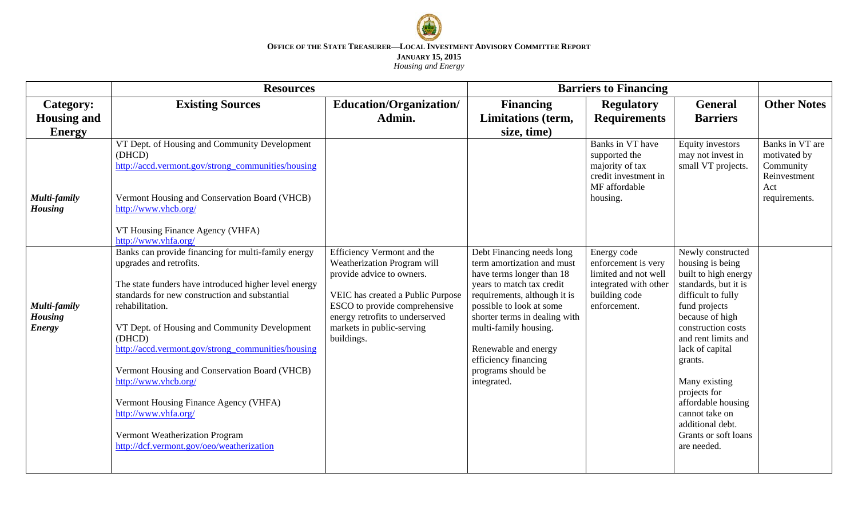

|                                                 | <b>Resources</b>                                                                                                                                                                                                                                                                                                                                                                                                                                                                                                                                       | <b>Barriers to Financing</b>                                                                                                                                                                                                               |                                                                                                                                                                                                                                                                                                                              |                                                                                                                      |                                                                                                                                                                                                                                                                                                                                                                |                                                                     |
|-------------------------------------------------|--------------------------------------------------------------------------------------------------------------------------------------------------------------------------------------------------------------------------------------------------------------------------------------------------------------------------------------------------------------------------------------------------------------------------------------------------------------------------------------------------------------------------------------------------------|--------------------------------------------------------------------------------------------------------------------------------------------------------------------------------------------------------------------------------------------|------------------------------------------------------------------------------------------------------------------------------------------------------------------------------------------------------------------------------------------------------------------------------------------------------------------------------|----------------------------------------------------------------------------------------------------------------------|----------------------------------------------------------------------------------------------------------------------------------------------------------------------------------------------------------------------------------------------------------------------------------------------------------------------------------------------------------------|---------------------------------------------------------------------|
| <b>Category:</b>                                | <b>Existing Sources</b>                                                                                                                                                                                                                                                                                                                                                                                                                                                                                                                                | Education/Organization/                                                                                                                                                                                                                    | <b>Financing</b>                                                                                                                                                                                                                                                                                                             | <b>Regulatory</b>                                                                                                    | <b>General</b>                                                                                                                                                                                                                                                                                                                                                 | <b>Other Notes</b>                                                  |
| <b>Housing and</b>                              |                                                                                                                                                                                                                                                                                                                                                                                                                                                                                                                                                        | Admin.                                                                                                                                                                                                                                     | Limitations (term,                                                                                                                                                                                                                                                                                                           | <b>Requirements</b>                                                                                                  | <b>Barriers</b>                                                                                                                                                                                                                                                                                                                                                |                                                                     |
| <b>Energy</b>                                   |                                                                                                                                                                                                                                                                                                                                                                                                                                                                                                                                                        |                                                                                                                                                                                                                                            | size, time)                                                                                                                                                                                                                                                                                                                  |                                                                                                                      |                                                                                                                                                                                                                                                                                                                                                                |                                                                     |
|                                                 | VT Dept. of Housing and Community Development<br>(DHCD)<br>http://accd.vermont.gov/strong_communities/housing                                                                                                                                                                                                                                                                                                                                                                                                                                          |                                                                                                                                                                                                                                            |                                                                                                                                                                                                                                                                                                                              | Banks in VT have<br>supported the<br>majority of tax<br>credit investment in<br>MF affordable                        | Equity investors<br>may not invest in<br>small VT projects.                                                                                                                                                                                                                                                                                                    | Banks in VT are<br>motivated by<br>Community<br>Reinvestment<br>Act |
| Multi-family<br><b>Housing</b>                  | Vermont Housing and Conservation Board (VHCB)<br>http://www.vhcb.org/                                                                                                                                                                                                                                                                                                                                                                                                                                                                                  |                                                                                                                                                                                                                                            |                                                                                                                                                                                                                                                                                                                              | housing.                                                                                                             |                                                                                                                                                                                                                                                                                                                                                                | requirements.                                                       |
|                                                 | VT Housing Finance Agency (VHFA)<br>http://www.vhfa.org/                                                                                                                                                                                                                                                                                                                                                                                                                                                                                               |                                                                                                                                                                                                                                            |                                                                                                                                                                                                                                                                                                                              |                                                                                                                      |                                                                                                                                                                                                                                                                                                                                                                |                                                                     |
| Multi-family<br><b>Housing</b><br><b>Energy</b> | Banks can provide financing for multi-family energy<br>upgrades and retrofits.<br>The state funders have introduced higher level energy<br>standards for new construction and substantial<br>rehabilitation.<br>VT Dept. of Housing and Community Development<br>(DHCD)<br>http://accd.vermont.gov/strong_communities/housing<br>Vermont Housing and Conservation Board (VHCB)<br>http://www.vhcb.org/<br>Vermont Housing Finance Agency (VHFA)<br>http://www.vhfa.org/<br>Vermont Weatherization Program<br>http://dcf.vermont.gov/oeo/weatherization | Efficiency Vermont and the<br>Weatherization Program will<br>provide advice to owners.<br>VEIC has created a Public Purpose<br>ESCO to provide comprehensive<br>energy retrofits to underserved<br>markets in public-serving<br>buildings. | Debt Financing needs long<br>term amortization and must<br>have terms longer than 18<br>years to match tax credit<br>requirements, although it is<br>possible to look at some<br>shorter terms in dealing with<br>multi-family housing.<br>Renewable and energy<br>efficiency financing<br>programs should be<br>integrated. | Energy code<br>enforcement is very<br>limited and not well<br>integrated with other<br>building code<br>enforcement. | Newly constructed<br>housing is being<br>built to high energy<br>standards, but it is<br>difficult to fully<br>fund projects<br>because of high<br>construction costs<br>and rent limits and<br>lack of capital<br>grants.<br>Many existing<br>projects for<br>affordable housing<br>cannot take on<br>additional debt.<br>Grants or soft loans<br>are needed. |                                                                     |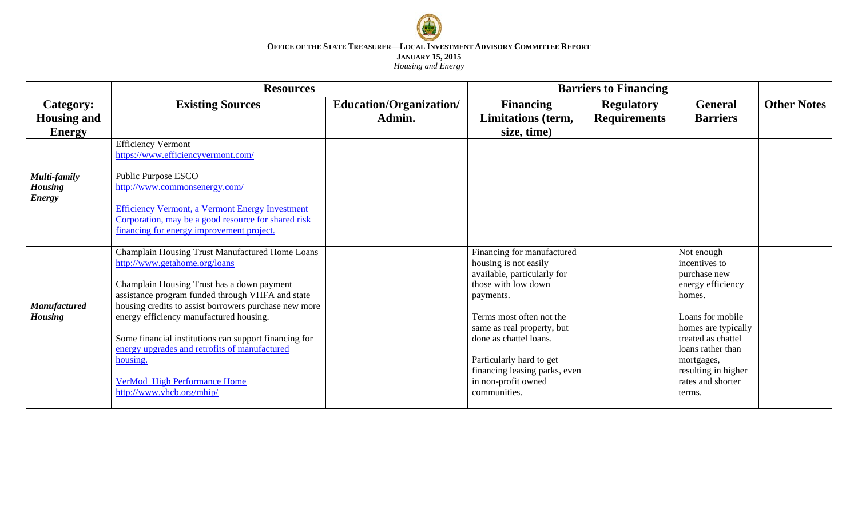

|                     | <b>Resources</b>                                                                                 |                         | <b>Barriers to Financing</b>                       |                     |                                   |                    |
|---------------------|--------------------------------------------------------------------------------------------------|-------------------------|----------------------------------------------------|---------------------|-----------------------------------|--------------------|
| <b>Category:</b>    | <b>Existing Sources</b>                                                                          | Education/Organization/ | <b>Financing</b>                                   | <b>Regulatory</b>   | <b>General</b>                    | <b>Other Notes</b> |
| <b>Housing and</b>  |                                                                                                  | Admin.                  | Limitations (term,                                 | <b>Requirements</b> | <b>Barriers</b>                   |                    |
| <b>Energy</b>       |                                                                                                  |                         | size, time)                                        |                     |                                   |                    |
|                     | <b>Efficiency Vermont</b>                                                                        |                         |                                                    |                     |                                   |                    |
|                     | https://www.efficiencyvermont.com/                                                               |                         |                                                    |                     |                                   |                    |
| Multi-family        | Public Purpose ESCO                                                                              |                         |                                                    |                     |                                   |                    |
| <b>Housing</b>      | http://www.commonsenergy.com/                                                                    |                         |                                                    |                     |                                   |                    |
| <b>Energy</b>       |                                                                                                  |                         |                                                    |                     |                                   |                    |
|                     | <b>Efficiency Vermont, a Vermont Energy Investment</b>                                           |                         |                                                    |                     |                                   |                    |
|                     | Corporation, may be a good resource for shared risk<br>financing for energy improvement project. |                         |                                                    |                     |                                   |                    |
|                     |                                                                                                  |                         |                                                    |                     |                                   |                    |
|                     | Champlain Housing Trust Manufactured Home Loans                                                  |                         | Financing for manufactured                         |                     | Not enough                        |                    |
|                     | http://www.getahome.org/loans                                                                    |                         | housing is not easily                              |                     | incentives to                     |                    |
|                     | Champlain Housing Trust has a down payment                                                       |                         | available, particularly for<br>those with low down |                     | purchase new<br>energy efficiency |                    |
|                     | assistance program funded through VHFA and state                                                 |                         | payments.                                          |                     | homes.                            |                    |
| <b>Manufactured</b> | housing credits to assist borrowers purchase new more                                            |                         |                                                    |                     |                                   |                    |
| <b>Housing</b>      | energy efficiency manufactured housing.                                                          |                         | Terms most often not the                           |                     | Loans for mobile                  |                    |
|                     |                                                                                                  |                         | same as real property, but                         |                     | homes are typically               |                    |
|                     | Some financial institutions can support financing for                                            |                         | done as chattel loans.                             |                     | treated as chattel                |                    |
|                     | energy upgrades and retrofits of manufactured                                                    |                         |                                                    |                     | loans rather than                 |                    |
|                     | housing.                                                                                         |                         | Particularly hard to get                           |                     | mortgages,                        |                    |
|                     |                                                                                                  |                         | financing leasing parks, even                      |                     | resulting in higher               |                    |
|                     | <b>VerMod High Performance Home</b>                                                              |                         | in non-profit owned                                |                     | rates and shorter                 |                    |
|                     | http://www.yhcb.org/mhip/                                                                        |                         | communities.                                       |                     | terms.                            |                    |
|                     |                                                                                                  |                         |                                                    |                     |                                   |                    |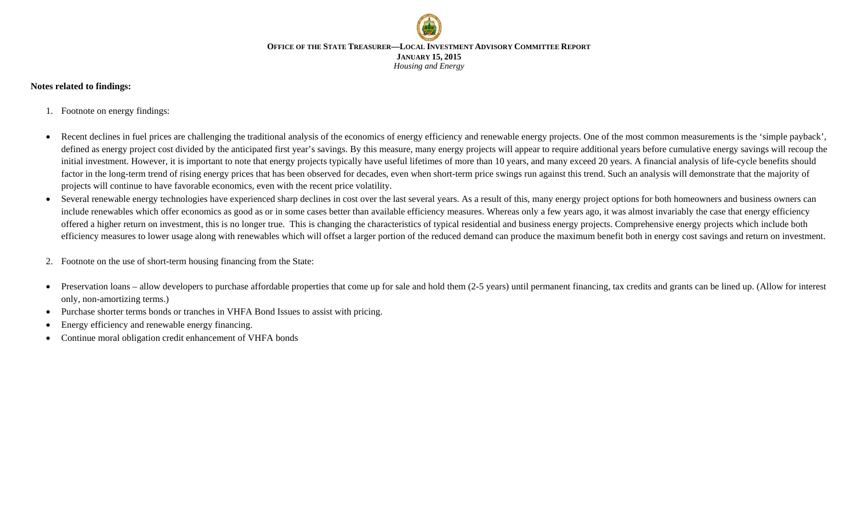

### **Notes related to findings:**

- 1. Footnote on energy findings:
- Recent declines in fuel prices are challenging the traditional analysis of the economics of energy efficiency and renewable energy projects. One of the most common measurements is the 'simple payback', defined as energy project cost divided by the anticipated first year's savings. By this measure, many energy projects will appear to require additional years before cumulative energy savings will recoup the initial investment. However, it is important to note that energy projects typically have useful lifetimes of more than 10 years, and many exceed 20 years. A financial analysis of life-cycle benefits should factor in the long-term trend of rising energy prices that has been observed for decades, even when short-term price swings run against this trend. Such an analysis will demonstrate that the majority of projects will continue to have favorable economics, even with the recent price volatility.
- Several renewable energy technologies have experienced sharp declines in cost over the last several years. As a result of this, many energy project options for both homeowners and business owners can include renewables which offer economics as good as or in some cases better than available efficiency measures. Whereas only a few years ago, it was almost invariably the case that energy efficiency offered a higher return on investment, this is no longer true. This is changing the characteristics of typical residential and business energy projects. Comprehensive energy projects which include both efficiency measures to lower usage along with renewables which will offset a larger portion of the reduced demand can produce the maximum benefit both in energy cost savings and return on investment.
- 2. Footnote on the use of short-term housing financing from the State:
- Preservation loans allow developers to purchase affordable properties that come up for sale and hold them (2-5 years) until permanent financing, tax credits and grants can be lined up. (Allow for interest only, non-amortizing terms.)
- Purchase shorter terms bonds or tranches in VHFA Bond Issues to assist with pricing.
- Energy efficiency and renewable energy financing.
- Continue moral obligation credit enhancement of VHFA bonds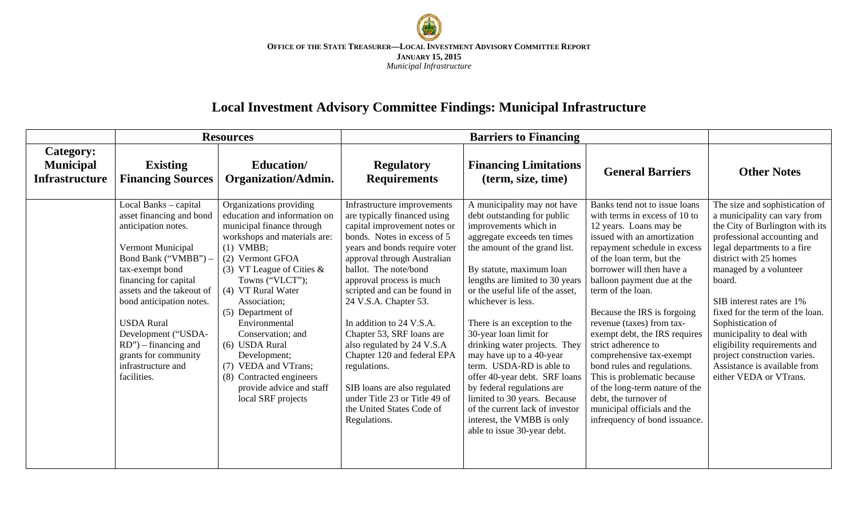

# **Local Investment Advisory Committee Findings: Municipal Infrastructure**

|                                                        |                                                                                                                                                                                                                                                                                                                                                                | <b>Resources</b>                                                                                                                                                                                                                                                                                                                                                                                                                                    |                                                                                                                                                                                                                                                                                                                                                                                                                                                                                                                                                              | <b>Barriers to Financing</b>                                                                                                                                                                                                                                                                                                                                                                                                                                                                                                                                                                                                   |                                                                                                                                                                                                                                                                                                                                                                                                                                                                                                                                                                                                               |                                                                                                                                                                                                                                                                                                                                                                                                                                                                           |
|--------------------------------------------------------|----------------------------------------------------------------------------------------------------------------------------------------------------------------------------------------------------------------------------------------------------------------------------------------------------------------------------------------------------------------|-----------------------------------------------------------------------------------------------------------------------------------------------------------------------------------------------------------------------------------------------------------------------------------------------------------------------------------------------------------------------------------------------------------------------------------------------------|--------------------------------------------------------------------------------------------------------------------------------------------------------------------------------------------------------------------------------------------------------------------------------------------------------------------------------------------------------------------------------------------------------------------------------------------------------------------------------------------------------------------------------------------------------------|--------------------------------------------------------------------------------------------------------------------------------------------------------------------------------------------------------------------------------------------------------------------------------------------------------------------------------------------------------------------------------------------------------------------------------------------------------------------------------------------------------------------------------------------------------------------------------------------------------------------------------|---------------------------------------------------------------------------------------------------------------------------------------------------------------------------------------------------------------------------------------------------------------------------------------------------------------------------------------------------------------------------------------------------------------------------------------------------------------------------------------------------------------------------------------------------------------------------------------------------------------|---------------------------------------------------------------------------------------------------------------------------------------------------------------------------------------------------------------------------------------------------------------------------------------------------------------------------------------------------------------------------------------------------------------------------------------------------------------------------|
| Category:<br><b>Municipal</b><br><b>Infrastructure</b> | <b>Existing</b><br><b>Financing Sources</b>                                                                                                                                                                                                                                                                                                                    | Education/<br><b>Organization/Admin.</b>                                                                                                                                                                                                                                                                                                                                                                                                            | <b>Regulatory</b><br><b>Requirements</b>                                                                                                                                                                                                                                                                                                                                                                                                                                                                                                                     | <b>Financing Limitations</b><br>(term, size, time)                                                                                                                                                                                                                                                                                                                                                                                                                                                                                                                                                                             | <b>General Barriers</b>                                                                                                                                                                                                                                                                                                                                                                                                                                                                                                                                                                                       | <b>Other Notes</b>                                                                                                                                                                                                                                                                                                                                                                                                                                                        |
|                                                        | Local Banks - capital<br>asset financing and bond<br>anticipation notes.<br>Vermont Municipal<br>Bond Bank ("VMBB") –<br>tax-exempt bond<br>financing for capital<br>assets and the takeout of<br>bond anticipation notes.<br><b>USDA</b> Rural<br>Development ("USDA-<br>$RD'$ ) – financing and<br>grants for community<br>infrastructure and<br>facilities. | Organizations providing<br>education and information on<br>municipal finance through<br>workshops and materials are:<br>$(1)$ VMBB;<br>(2) Vermont GFOA<br>(3) VT League of Cities $\&$<br>Towns ("VLCT");<br>(4) VT Rural Water<br>Association;<br>(5) Department of<br>Environmental<br>Conservation; and<br>(6) USDA Rural<br>Development;<br>(7) VEDA and VTrans;<br>(8) Contracted engineers<br>provide advice and staff<br>local SRF projects | Infrastructure improvements<br>are typically financed using<br>capital improvement notes or<br>bonds. Notes in excess of 5<br>years and bonds require voter<br>approval through Australian<br>ballot. The note/bond<br>approval process is much<br>scripted and can be found in<br>24 V.S.A. Chapter 53.<br>In addition to 24 V.S.A.<br>Chapter 53, SRF loans are<br>also regulated by 24 V.S.A<br>Chapter 120 and federal EPA<br>regulations.<br>SIB loans are also regulated<br>under Title 23 or Title 49 of<br>the United States Code of<br>Regulations. | A municipality may not have<br>debt outstanding for public<br>improvements which in<br>aggregate exceeds ten times<br>the amount of the grand list.<br>By statute, maximum loan<br>lengths are limited to 30 years<br>or the useful life of the asset,<br>whichever is less.<br>There is an exception to the<br>30-year loan limit for<br>drinking water projects. They<br>may have up to a 40-year<br>term. USDA-RD is able to<br>offer 40-year debt. SRF loans<br>by federal regulations are<br>limited to 30 years. Because<br>of the current lack of investor<br>interest, the VMBB is only<br>able to issue 30-year debt. | Banks tend not to issue loans<br>with terms in excess of 10 to<br>12 years. Loans may be<br>issued with an amortization<br>repayment schedule in excess<br>of the loan term, but the<br>borrower will then have a<br>balloon payment due at the<br>term of the loan.<br>Because the IRS is forgoing<br>revenue (taxes) from tax-<br>exempt debt, the IRS requires<br>strict adherence to<br>comprehensive tax-exempt<br>bond rules and regulations.<br>This is problematic because<br>of the long-term nature of the<br>debt, the turnover of<br>municipal officials and the<br>infrequency of bond issuance. | The size and sophistication of<br>a municipality can vary from<br>the City of Burlington with its<br>professional accounting and<br>legal departments to a fire<br>district with 25 homes<br>managed by a volunteer<br>board.<br>SIB interest rates are 1%<br>fixed for the term of the loan.<br>Sophistication of<br>municipality to deal with<br>eligibility requirements and<br>project construction varies.<br>Assistance is available from<br>either VEDA or VTrans. |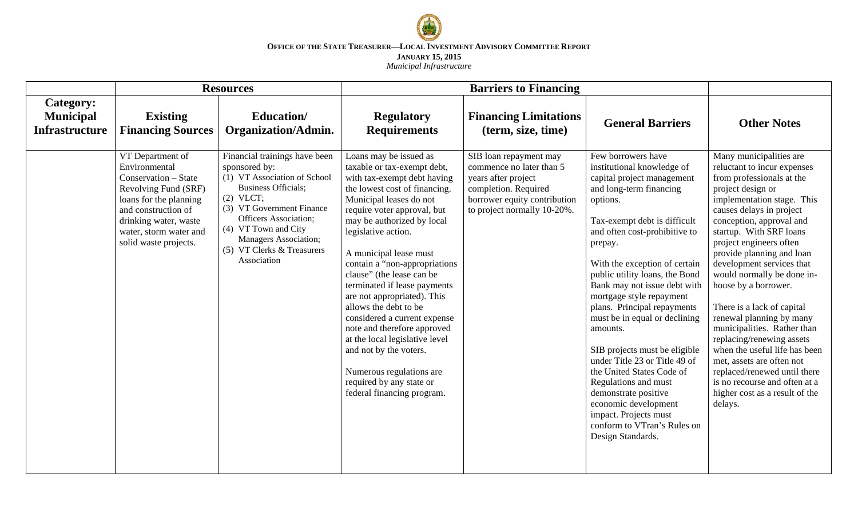

|                                                               |                                                                                                                                                                                                                | <b>Resources</b>                                                                                                                                                                                                                                                                              |                                                                                                                                                                                                                                                                                                                                                                                                                                                                                                                                                                                                                                       | <b>Barriers to Financing</b>                                                                                                                                     |                                                                                                                                                                                                                                                                                                                                                                                                                                                                                                                                                                                                                                                                  |                                                                                                                                                                                                                                                                                                                                                                                                                                                                                                                                                                                                                                                                        |
|---------------------------------------------------------------|----------------------------------------------------------------------------------------------------------------------------------------------------------------------------------------------------------------|-----------------------------------------------------------------------------------------------------------------------------------------------------------------------------------------------------------------------------------------------------------------------------------------------|---------------------------------------------------------------------------------------------------------------------------------------------------------------------------------------------------------------------------------------------------------------------------------------------------------------------------------------------------------------------------------------------------------------------------------------------------------------------------------------------------------------------------------------------------------------------------------------------------------------------------------------|------------------------------------------------------------------------------------------------------------------------------------------------------------------|------------------------------------------------------------------------------------------------------------------------------------------------------------------------------------------------------------------------------------------------------------------------------------------------------------------------------------------------------------------------------------------------------------------------------------------------------------------------------------------------------------------------------------------------------------------------------------------------------------------------------------------------------------------|------------------------------------------------------------------------------------------------------------------------------------------------------------------------------------------------------------------------------------------------------------------------------------------------------------------------------------------------------------------------------------------------------------------------------------------------------------------------------------------------------------------------------------------------------------------------------------------------------------------------------------------------------------------------|
| <b>Category:</b><br><b>Municipal</b><br><b>Infrastructure</b> | <b>Existing</b><br><b>Financing Sources</b>                                                                                                                                                                    | Education/<br><b>Organization/Admin.</b>                                                                                                                                                                                                                                                      | <b>Regulatory</b><br><b>Requirements</b>                                                                                                                                                                                                                                                                                                                                                                                                                                                                                                                                                                                              | <b>Financing Limitations</b><br>(term, size, time)                                                                                                               | <b>General Barriers</b>                                                                                                                                                                                                                                                                                                                                                                                                                                                                                                                                                                                                                                          | <b>Other Notes</b>                                                                                                                                                                                                                                                                                                                                                                                                                                                                                                                                                                                                                                                     |
|                                                               | VT Department of<br>Environmental<br>Conservation - State<br>Revolving Fund (SRF)<br>loans for the planning<br>and construction of<br>drinking water, waste<br>water, storm water and<br>solid waste projects. | Financial trainings have been<br>sponsored by:<br>(1) VT Association of School<br><b>Business Officials;</b><br>$(2)$ VLCT;<br>(3) VT Government Finance<br><b>Officers Association;</b><br>(4) VT Town and City<br><b>Managers Association;</b><br>(5) VT Clerks & Treasurers<br>Association | Loans may be issued as<br>taxable or tax-exempt debt,<br>with tax-exempt debt having<br>the lowest cost of financing.<br>Municipal leases do not<br>require voter approval, but<br>may be authorized by local<br>legislative action.<br>A municipal lease must<br>contain a "non-appropriations<br>clause" (the lease can be<br>terminated if lease payments<br>are not appropriated). This<br>allows the debt to be<br>considered a current expense<br>note and therefore approved<br>at the local legislative level<br>and not by the voters.<br>Numerous regulations are<br>required by any state or<br>federal financing program. | SIB loan repayment may<br>commence no later than 5<br>years after project<br>completion. Required<br>borrower equity contribution<br>to project normally 10-20%. | Few borrowers have<br>institutional knowledge of<br>capital project management<br>and long-term financing<br>options.<br>Tax-exempt debt is difficult<br>and often cost-prohibitive to<br>prepay.<br>With the exception of certain<br>public utility loans, the Bond<br>Bank may not issue debt with<br>mortgage style repayment<br>plans. Principal repayments<br>must be in equal or declining<br>amounts.<br>SIB projects must be eligible<br>under Title 23 or Title 49 of<br>the United States Code of<br>Regulations and must<br>demonstrate positive<br>economic development<br>impact. Projects must<br>conform to VTran's Rules on<br>Design Standards. | Many municipalities are<br>reluctant to incur expenses<br>from professionals at the<br>project design or<br>implementation stage. This<br>causes delays in project<br>conception, approval and<br>startup. With SRF loans<br>project engineers often<br>provide planning and loan<br>development services that<br>would normally be done in-<br>house by a borrower.<br>There is a lack of capital<br>renewal planning by many<br>municipalities. Rather than<br>replacing/renewing assets<br>when the useful life has been<br>met, assets are often not<br>replaced/renewed until there<br>is no recourse and often at a<br>higher cost as a result of the<br>delays. |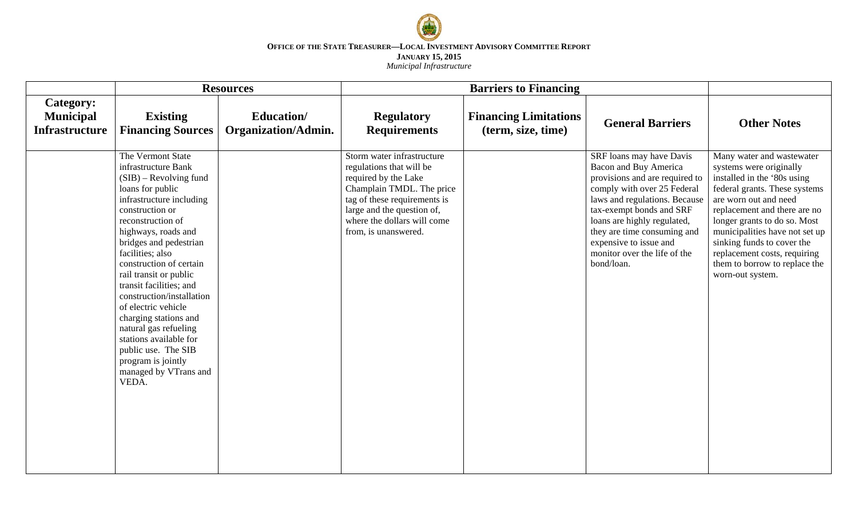

|                                                        | <b>Resources</b>                                                                                                                                                                                                                                                                                                                                                                                                                                                                                                                 |                                                  |                                                                                                                                                                                                                                  | <b>Barriers to Financing</b>                       |                                                                                                                                                                                                                                                                                                                       |                                                                                                                                                                                                                                                                                                                                                                    |
|--------------------------------------------------------|----------------------------------------------------------------------------------------------------------------------------------------------------------------------------------------------------------------------------------------------------------------------------------------------------------------------------------------------------------------------------------------------------------------------------------------------------------------------------------------------------------------------------------|--------------------------------------------------|----------------------------------------------------------------------------------------------------------------------------------------------------------------------------------------------------------------------------------|----------------------------------------------------|-----------------------------------------------------------------------------------------------------------------------------------------------------------------------------------------------------------------------------------------------------------------------------------------------------------------------|--------------------------------------------------------------------------------------------------------------------------------------------------------------------------------------------------------------------------------------------------------------------------------------------------------------------------------------------------------------------|
| Category:<br><b>Municipal</b><br><b>Infrastructure</b> | <b>Existing</b><br><b>Financing Sources</b>                                                                                                                                                                                                                                                                                                                                                                                                                                                                                      | <b>Education</b> /<br><b>Organization/Admin.</b> | <b>Regulatory</b><br><b>Requirements</b>                                                                                                                                                                                         | <b>Financing Limitations</b><br>(term, size, time) | <b>General Barriers</b>                                                                                                                                                                                                                                                                                               | <b>Other Notes</b>                                                                                                                                                                                                                                                                                                                                                 |
|                                                        | The Vermont State<br>infrastructure Bank<br>$(SIB)$ – Revolving fund<br>loans for public<br>infrastructure including<br>construction or<br>reconstruction of<br>highways, roads and<br>bridges and pedestrian<br>facilities; also<br>construction of certain<br>rail transit or public<br>transit facilities; and<br>construction/installation<br>of electric vehicle<br>charging stations and<br>natural gas refueling<br>stations available for<br>public use. The SIB<br>program is jointly<br>managed by VTrans and<br>VEDA. |                                                  | Storm water infrastructure<br>regulations that will be<br>required by the Lake<br>Champlain TMDL. The price<br>tag of these requirements is<br>large and the question of,<br>where the dollars will come<br>from, is unanswered. |                                                    | SRF loans may have Davis<br>Bacon and Buy America<br>provisions and are required to<br>comply with over 25 Federal<br>laws and regulations. Because<br>tax-exempt bonds and SRF<br>loans are highly regulated,<br>they are time consuming and<br>expensive to issue and<br>monitor over the life of the<br>bond/loan. | Many water and wastewater<br>systems were originally<br>installed in the '80s using<br>federal grants. These systems<br>are worn out and need<br>replacement and there are no<br>longer grants to do so. Most<br>municipalities have not set up<br>sinking funds to cover the<br>replacement costs, requiring<br>them to borrow to replace the<br>worn-out system. |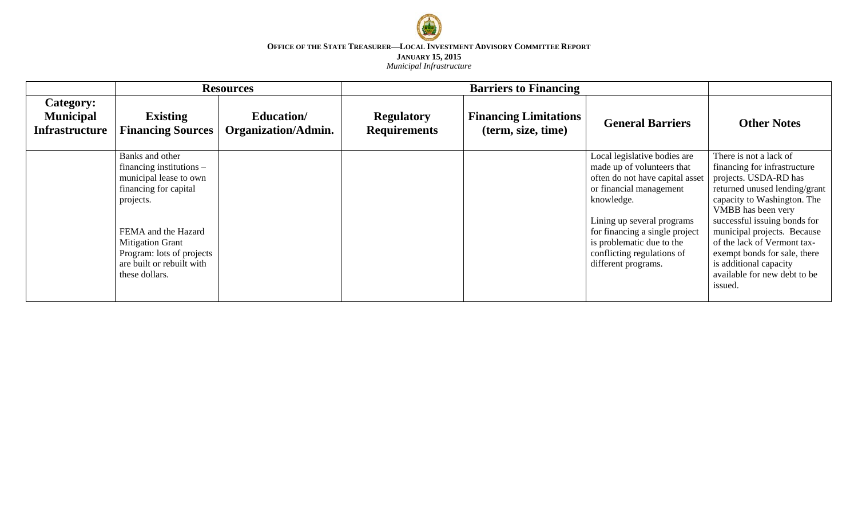

|                                                        |                                                                                                                                                                                                                                             | <b>Resources</b>                         |                                          | <b>Barriers to Financing</b>                       |                                                                                                                                                                                                                                                                                          |                                                                                                                                                                                                                                                                                                                                                                          |
|--------------------------------------------------------|---------------------------------------------------------------------------------------------------------------------------------------------------------------------------------------------------------------------------------------------|------------------------------------------|------------------------------------------|----------------------------------------------------|------------------------------------------------------------------------------------------------------------------------------------------------------------------------------------------------------------------------------------------------------------------------------------------|--------------------------------------------------------------------------------------------------------------------------------------------------------------------------------------------------------------------------------------------------------------------------------------------------------------------------------------------------------------------------|
| Category:<br><b>Municipal</b><br><b>Infrastructure</b> | <b>Existing</b><br><b>Financing Sources</b>                                                                                                                                                                                                 | Education/<br><b>Organization/Admin.</b> | <b>Regulatory</b><br><b>Requirements</b> | <b>Financing Limitations</b><br>(term, size, time) | <b>General Barriers</b>                                                                                                                                                                                                                                                                  | <b>Other Notes</b>                                                                                                                                                                                                                                                                                                                                                       |
|                                                        | Banks and other<br>financing institutions $-$<br>municipal lease to own<br>financing for capital<br>projects.<br>FEMA and the Hazard<br><b>Mitigation Grant</b><br>Program: lots of projects<br>are built or rebuilt with<br>these dollars. |                                          |                                          |                                                    | Local legislative bodies are<br>made up of volunteers that<br>often do not have capital asset<br>or financial management<br>knowledge.<br>Lining up several programs<br>for financing a single project<br>is problematic due to the<br>conflicting regulations of<br>different programs. | There is not a lack of<br>financing for infrastructure<br>projects. USDA-RD has<br>returned unused lending/grant<br>capacity to Washington. The<br>VMBB has been very<br>successful issuing bonds for<br>municipal projects. Because<br>of the lack of Vermont tax-<br>exempt bonds for sale, there<br>is additional capacity<br>available for new debt to be<br>issued. |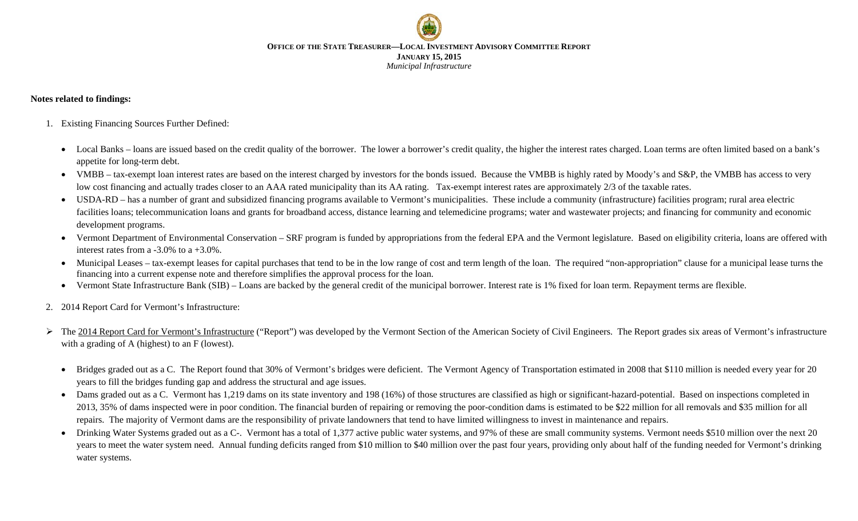

### **Notes related to findings:**

- 1. Existing Financing Sources Further Defined:
	- Local Banks loans are issued based on the credit quality of the borrower. The lower a borrower's credit quality, the higher the interest rates charged. Loan terms are often limited based on a bank's appetite for long-term debt.
	- VMBB tax-exempt loan interest rates are based on the interest charged by investors for the bonds issued. Because the VMBB is highly rated by Moody's and S&P, the VMBB has access to very low cost financing and actually trades closer to an AAA rated municipality than its AA rating. Tax-exempt interest rates are approximately 2/3 of the taxable rates.
	- USDA-RD has a number of grant and subsidized financing programs available to Vermont's municipalities. These include a community (infrastructure) facilities program; rural area electric facilities loans; telecommunication loans and grants for broadband access, distance learning and telemedicine programs; water and wastewater projects; and financing for community and economic development programs.
	- Vermont Department of Environmental Conservation SRF program is funded by appropriations from the federal EPA and the Vermont legislature. Based on eligibility criteria, loans are offered with interest rates from a -3.0% to a +3.0%.
	- Municipal Leases tax-exempt leases for capital purchases that tend to be in the low range of cost and term length of the loan. The required "non-appropriation" clause for a municipal lease turns the financing into a current expense note and therefore simplifies the approval process for the loan.
	- Vermont State Infrastructure Bank (SIB) Loans are backed by the general credit of the municipal borrower. Interest rate is 1% fixed for loan term. Repayment terms are flexible.
- 2. 2014 Report Card for Vermont's Infrastructure:
- $\triangleright$  The 2014 Report Card for Vermont's Infrastructure ("Report") was developed by the Vermont Section of the American Society of Civil Engineers. The Report grades six areas of Vermont's infrastructure with a grading of A (highest) to an F (lowest).
	- Bridges graded out as a C. The Report found that 30% of Vermont's bridges were deficient. The Vermont Agency of Transportation estimated in 2008 that \$110 million is needed every year for 20 years to fill the bridges funding gap and address the structural and age issues.
	- Dams graded out as a C. Vermont has 1,219 dams on its state inventory and 198 (16%) of those structures are classified as high or significant-hazard-potential. Based on inspections completed in 2013, 35% of dams inspected were in poor condition. The financial burden of repairing or removing the poor-condition dams is estimated to be \$22 million for all removals and \$35 million for all repairs. The majority of Vermont dams are the responsibility of private landowners that tend to have limited willingness to invest in maintenance and repairs.
	- Drinking Water Systems graded out as a C-. Vermont has a total of 1,377 active public water systems, and 97% of these are small community systems. Vermont needs \$510 million over the next 20 years to meet the water system need. Annual funding deficits ranged from \$10 million to \$40 million over the past four years, providing only about half of the funding needed for Vermont's drinking water systems.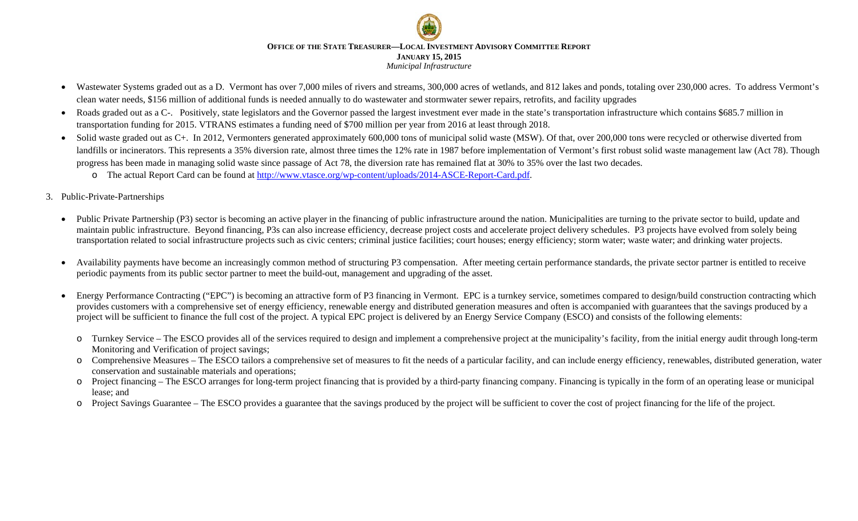- Wastewater Systems graded out as a D. Vermont has over 7,000 miles of rivers and streams, 300,000 acres of wetlands, and 812 lakes and ponds, totaling over 230,000 acres. To address Vermont's clean water needs, \$156 million of additional funds is needed annually to do wastewater and stormwater sewer repairs, retrofits, and facility upgrades
- Roads graded out as a C-. Positively, state legislators and the Governor passed the largest investment ever made in the state's transportation infrastructure which contains \$685.7 million in transportation funding for 2015. VTRANS estimates a funding need of \$700 million per year from 2016 at least through 2018.
- Solid waste graded out as C+. In 2012, Vermonters generated approximately 600,000 tons of municipal solid waste (MSW). Of that, over 200,000 tons were recycled or otherwise diverted from landfills or incinerators. This represents a 35% diversion rate, almost three times the 12% rate in 1987 before implementation of Vermont's first robust solid waste management law (Act 78). Though progress has been made in managing solid waste since passage of Act 78, the diversion rate has remained flat at 30% to 35% over the last two decades.
	- o The actual Report Card can be found at [http://www.vtasce.org/wp-content/uploads/2014-ASCE-Report-Card.pdf.](http://www.vtasce.org/wp-content/uploads/2014-ASCE-Report-Card.pdf)
- 3. Public-Private-Partnerships
	- Public Private Partnership (P3) sector is becoming an active player in the financing of public infrastructure around the nation. Municipalities are turning to the private sector to build, update and maintain public infrastructure. Beyond financing, P3s can also increase efficiency, decrease project costs and accelerate project delivery schedules. P3 projects have evolved from solely being transportation related to social infrastructure projects such as civic centers; criminal justice facilities; court houses; energy efficiency; storm water; waste water; and drinking water projects.
	- Availability payments have become an increasingly common method of structuring P3 compensation. After meeting certain performance standards, the private sector partner is entitled to receive periodic payments from its public sector partner to meet the build-out, management and upgrading of the asset.
	- Energy Performance Contracting ("EPC") is becoming an attractive form of P3 financing in Vermont. EPC is a turnkey service, sometimes compared to design/build construction contracting which provides customers with a comprehensive set of energy efficiency, renewable energy and distributed generation measures and often is accompanied with guarantees that the savings produced by a project will be sufficient to finance the full cost of the project. A typical EPC project is delivered by an Energy Service Company (ESCO) and consists of the following elements:
		- o Turnkey Service The ESCO provides all of the services required to design and implement a comprehensive project at the municipality's facility, from the initial energy audit through long-term Monitoring and Verification of project savings;
		- o Comprehensive Measures The ESCO tailors a comprehensive set of measures to fit the needs of a particular facility, and can include energy efficiency, renewables, distributed generation, water conservation and sustainable materials and operations;
		- o Project financing The ESCO arranges for long-term project financing that is provided by a third-party financing company. Financing is typically in the form of an operating lease or municipal lease; and
		- o Project Savings Guarantee The ESCO provides a guarantee that the savings produced by the project will be sufficient to cover the cost of project financing for the life of the project.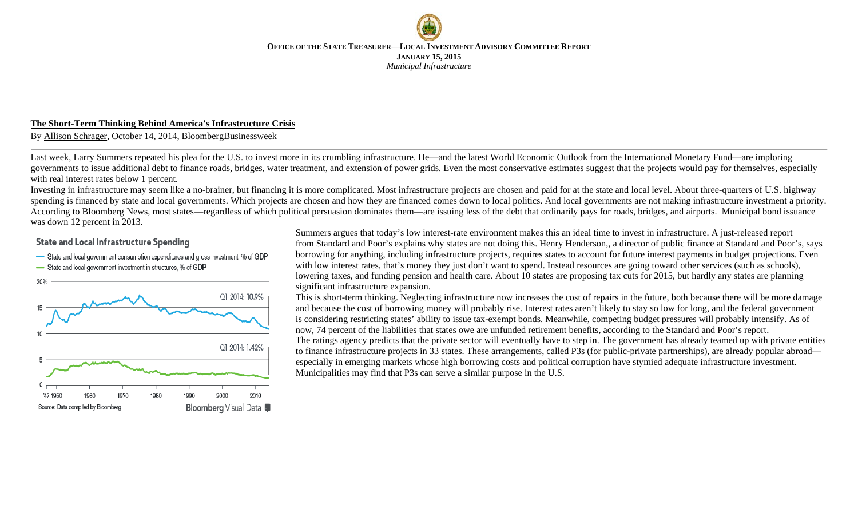### **The Short-Term Thinking Behind America's Infrastructure Crisis**

By [Allison Schrager,](http://www.businessweek.com/authors/54947-allison-schrager) October 14, 2014, BloombergBusinessweek

Last week, Larry Summers repeated his [plea](http://www.ft.com/intl/cms/s/2/9b591f98-4997-11e4-8d68-00144feab7de.html) for the U.S. to invest more in its crumbling infrastructure. He—and the latest [World Economic Outlook f](http://www.imf.org/external/pubs/ft/weo/2014/02/pdf/c3.pdf)rom the International Monetary Fund—are imploring governments to issue additional debt to finance roads, bridges, water treatment, and extension of power grids. Even the most conservative estimates suggest that the projects would pay for themselves, especially with real interest rates below 1 percent.

Investing in infrastructure may seem like a no-brainer, but financing it is more complicated. Most infrastructure projects are chosen and paid for at the state and local level. About three-quarters of U.S. highway spending is financed by state and local governments. Which projects are chosen and how they are financed comes down to local politics. And local governments are not making infrastructure investment a priority. [According to](http://www.bloomberg.com/news/2014-06-23/bridges-crumble-as-muni-rates-at-least-since-60s-ignored.html) Bloomberg News, most states—regardless of which political persuasion dominates them—are issuing less of the debt that ordinarily pays for roads, bridges, and airports. Municipal bond issuance was down 12 percent in 2013.

# **State and Local Infrastructure Spending**

- State and local government consumption expenditures and gross investment, % of GDP
- -State and local government investment in structures, % of GDP



Summers argues that today's low interest-rate environment makes this an ideal time to invest in infrastructure. A just-released [report](https://www.globalcreditportal.com/ratingsdirect/renderArticle.do?articleId=1363959&SctArtId=271028&from=CM&nsl_code=LIME&sourceObjectId=8803271&sourceRevId=1&fee_ind=N&exp_date=20241012-22:33:55) from Standard and Poor's explains why states are not doing this. Henry Henderson,, a director of public finance at Standard and Poor's, says borrowing for anything, including infrastructure projects, requires states to account for future interest payments in budget projections. Even with low interest rates, that's money they just don't want to spend. Instead resources are going toward other services (such as schools), lowering taxes, and funding pension and health care. About 10 states are proposing tax cuts for 2015, but hardly any states are planning significant infrastructure expansion.

This is short-term thinking. Neglecting infrastructure now increases the cost of repairs in the future, both because there will be more damage and because the cost of borrowing money will probably rise. Interest rates aren't likely to stay so low for long, and the federal government is considering restricting states' ability to issue tax-exempt bonds. Meanwhile, competing budget pressures will probably intensify. As of now, 74 percent of the liabilities that states owe are unfunded retirement benefits, according to the Standard and Poor's report. The ratings agency predicts that the private sector will eventually have to step in. The government has already teamed up with private entities to finance infrastructure projects in 33 states. These arrangements, called P3s (for public-private partnerships), are already popular abroad especially in emerging markets whose high borrowing costs and political corruption have stymied adequate infrastructure investment. Municipalities may find that P3s can serve a similar purpose in the U.S.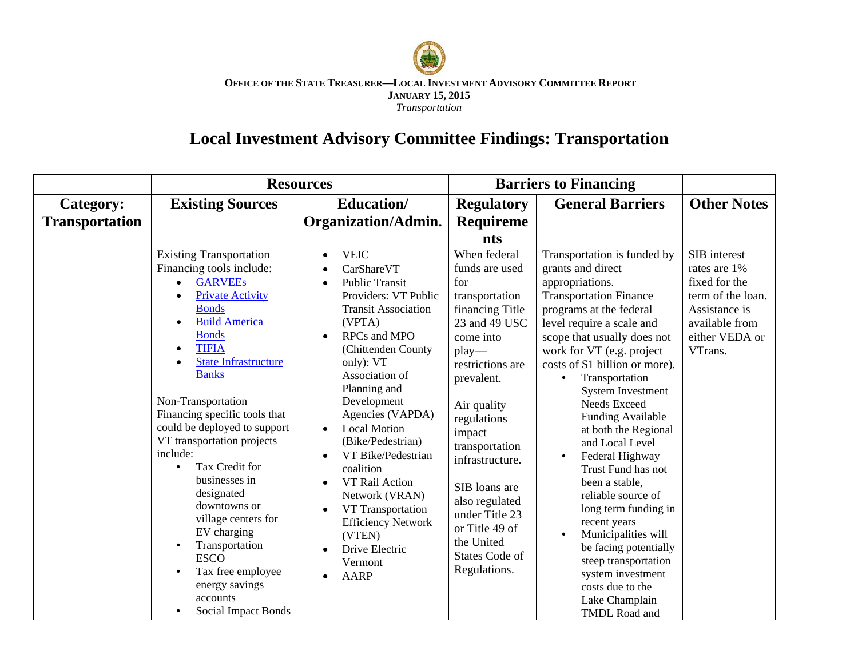

#### **OFFICE OF THE STATE TREASURER—LOCAL INVESTMENT ADVISORY COMMITTEE REPORT JANUARY 15, 2015** *Transportation*

# **Local Investment Advisory Committee Findings: Transportation**

|                       | <b>Resources</b>                                                                                                                                                                                                                                                                                                                                                                                                                                                                                                                                                                                                         |                                                                                                                                                                                                                                                                                                                                                                                                                                                                                                                                                                                                                | <b>Barriers to Financing</b>                                                                                                                                                                                                                                                                                                                                     |                                                                                                                                                                                                                                                                                                                                                                                                                                                                                                                                                                                                                                                                                                                     |                                                                                                                                    |
|-----------------------|--------------------------------------------------------------------------------------------------------------------------------------------------------------------------------------------------------------------------------------------------------------------------------------------------------------------------------------------------------------------------------------------------------------------------------------------------------------------------------------------------------------------------------------------------------------------------------------------------------------------------|----------------------------------------------------------------------------------------------------------------------------------------------------------------------------------------------------------------------------------------------------------------------------------------------------------------------------------------------------------------------------------------------------------------------------------------------------------------------------------------------------------------------------------------------------------------------------------------------------------------|------------------------------------------------------------------------------------------------------------------------------------------------------------------------------------------------------------------------------------------------------------------------------------------------------------------------------------------------------------------|---------------------------------------------------------------------------------------------------------------------------------------------------------------------------------------------------------------------------------------------------------------------------------------------------------------------------------------------------------------------------------------------------------------------------------------------------------------------------------------------------------------------------------------------------------------------------------------------------------------------------------------------------------------------------------------------------------------------|------------------------------------------------------------------------------------------------------------------------------------|
| Category:             | <b>Existing Sources</b>                                                                                                                                                                                                                                                                                                                                                                                                                                                                                                                                                                                                  | <b>Education</b> /                                                                                                                                                                                                                                                                                                                                                                                                                                                                                                                                                                                             | <b>Regulatory</b>                                                                                                                                                                                                                                                                                                                                                | <b>General Barriers</b>                                                                                                                                                                                                                                                                                                                                                                                                                                                                                                                                                                                                                                                                                             | <b>Other Notes</b>                                                                                                                 |
| <b>Transportation</b> |                                                                                                                                                                                                                                                                                                                                                                                                                                                                                                                                                                                                                          | <b>Organization/Admin.</b>                                                                                                                                                                                                                                                                                                                                                                                                                                                                                                                                                                                     | <b>Requireme</b>                                                                                                                                                                                                                                                                                                                                                 |                                                                                                                                                                                                                                                                                                                                                                                                                                                                                                                                                                                                                                                                                                                     |                                                                                                                                    |
|                       |                                                                                                                                                                                                                                                                                                                                                                                                                                                                                                                                                                                                                          |                                                                                                                                                                                                                                                                                                                                                                                                                                                                                                                                                                                                                | nts                                                                                                                                                                                                                                                                                                                                                              |                                                                                                                                                                                                                                                                                                                                                                                                                                                                                                                                                                                                                                                                                                                     |                                                                                                                                    |
|                       | <b>Existing Transportation</b><br>Financing tools include:<br><b>GARVEEs</b><br><b>Private Activity</b><br><b>Bonds</b><br><b>Build America</b><br>$\bullet$<br><b>Bonds</b><br><b>TIFIA</b><br>$\bullet$<br><b>State Infrastructure</b><br><b>Banks</b><br>Non-Transportation<br>Financing specific tools that<br>could be deployed to support<br>VT transportation projects<br>include:<br>Tax Credit for<br>$\bullet$<br>businesses in<br>designated<br>downtowns or<br>village centers for<br>EV charging<br>Transportation<br><b>ESCO</b><br>Tax free employee<br>energy savings<br>accounts<br>Social Impact Bonds | <b>VEIC</b><br>$\bullet$<br>CarShareVT<br>$\bullet$<br><b>Public Transit</b><br>$\bullet$<br>Providers: VT Public<br><b>Transit Association</b><br>(VPTA)<br><b>RPCs</b> and MPO<br>$\bullet$<br>(Chittenden County<br>only): VT<br>Association of<br>Planning and<br>Development<br>Agencies (VAPDA)<br><b>Local Motion</b><br>$\bullet$<br>(Bike/Pedestrian)<br>VT Bike/Pedestrian<br>$\bullet$<br>coalition<br>VT Rail Action<br>$\bullet$<br>Network (VRAN)<br>VT Transportation<br>$\bullet$<br><b>Efficiency Network</b><br>(VTEN)<br>Drive Electric<br>$\bullet$<br>Vermont<br><b>AARP</b><br>$\bullet$ | When federal<br>funds are used<br>for<br>transportation<br>financing Title<br>23 and 49 USC<br>come into<br>$play-$<br>restrictions are<br>prevalent.<br>Air quality<br>regulations<br>impact<br>transportation<br>infrastructure.<br>SIB loans are<br>also regulated<br>under Title 23<br>or Title 49 of<br>the United<br><b>States Code of</b><br>Regulations. | Transportation is funded by<br>grants and direct<br>appropriations.<br><b>Transportation Finance</b><br>programs at the federal<br>level require a scale and<br>scope that usually does not<br>work for VT (e.g. project<br>costs of \$1 billion or more).<br>Transportation<br>$\bullet$<br><b>System Investment</b><br><b>Needs Exceed</b><br>Funding Available<br>at both the Regional<br>and Local Level<br>Federal Highway<br>$\bullet$<br>Trust Fund has not<br>been a stable,<br>reliable source of<br>long term funding in<br>recent years<br>Municipalities will<br>$\bullet$<br>be facing potentially<br>steep transportation<br>system investment<br>costs due to the<br>Lake Champlain<br>TMDL Road and | SIB interest<br>rates are 1%<br>fixed for the<br>term of the loan.<br>Assistance is<br>available from<br>either VEDA or<br>VTrans. |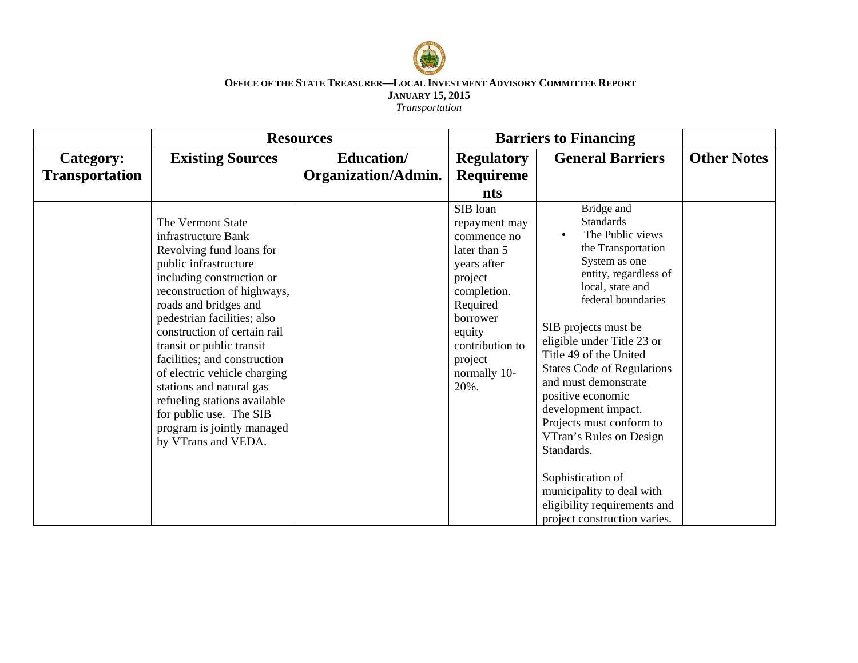

*Transportation*

|                       | <b>Resources</b>                                                                                                                                                                                                                                                                                                                                                                                                                                                                           |                     | <b>Barriers to Financing</b>                                                                                                                                                              |                                                                                                                                                                                                                                                                                                                                                                                                                                                                                                                                              |                    |
|-----------------------|--------------------------------------------------------------------------------------------------------------------------------------------------------------------------------------------------------------------------------------------------------------------------------------------------------------------------------------------------------------------------------------------------------------------------------------------------------------------------------------------|---------------------|-------------------------------------------------------------------------------------------------------------------------------------------------------------------------------------------|----------------------------------------------------------------------------------------------------------------------------------------------------------------------------------------------------------------------------------------------------------------------------------------------------------------------------------------------------------------------------------------------------------------------------------------------------------------------------------------------------------------------------------------------|--------------------|
| Category:             | <b>Existing Sources</b>                                                                                                                                                                                                                                                                                                                                                                                                                                                                    | <b>Education</b> /  | <b>Regulatory</b>                                                                                                                                                                         | <b>General Barriers</b>                                                                                                                                                                                                                                                                                                                                                                                                                                                                                                                      | <b>Other Notes</b> |
| <b>Transportation</b> |                                                                                                                                                                                                                                                                                                                                                                                                                                                                                            | Organization/Admin. | Requireme                                                                                                                                                                                 |                                                                                                                                                                                                                                                                                                                                                                                                                                                                                                                                              |                    |
|                       |                                                                                                                                                                                                                                                                                                                                                                                                                                                                                            |                     | nts                                                                                                                                                                                       |                                                                                                                                                                                                                                                                                                                                                                                                                                                                                                                                              |                    |
|                       | The Vermont State<br>infrastructure Bank<br>Revolving fund loans for<br>public infrastructure<br>including construction or<br>reconstruction of highways,<br>roads and bridges and<br>pedestrian facilities; also<br>construction of certain rail<br>transit or public transit<br>facilities; and construction<br>of electric vehicle charging<br>stations and natural gas<br>refueling stations available<br>for public use. The SIB<br>program is jointly managed<br>by VTrans and VEDA. |                     | SIB loan<br>repayment may<br>commence no<br>later than 5<br>years after<br>project<br>completion.<br>Required<br>borrower<br>equity<br>contribution to<br>project<br>normally 10-<br>20%. | Bridge and<br><b>Standards</b><br>The Public views<br>the Transportation<br>System as one<br>entity, regardless of<br>local, state and<br>federal boundaries<br>SIB projects must be<br>eligible under Title 23 or<br>Title 49 of the United<br><b>States Code of Regulations</b><br>and must demonstrate<br>positive economic<br>development impact.<br>Projects must conform to<br>VTran's Rules on Design<br>Standards.<br>Sophistication of<br>municipality to deal with<br>eligibility requirements and<br>project construction varies. |                    |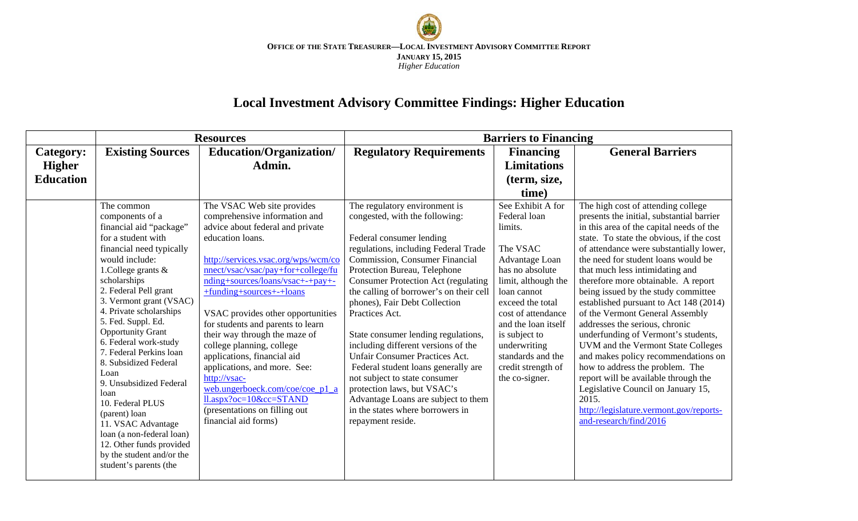

# **Local Investment Advisory Committee Findings: Higher Education**

|                                                       | <b>Resources</b>                                                                                                                                                                                                                                                                                                                                                                                                                                                                                                                               |                                                                                                                                                                                                                                                                                                                                                                                                                                                                                                                     | <b>Barriers to Financing</b>                                                                                                                                                                                                                                                                                                                                                                                                                                                                                                                                                                                 |                                                                                                                                                                                                                                                    |                                                                                                                                                                                                                                                                                                                                                                                                                                                                                                                                                                                                                                                                               |  |
|-------------------------------------------------------|------------------------------------------------------------------------------------------------------------------------------------------------------------------------------------------------------------------------------------------------------------------------------------------------------------------------------------------------------------------------------------------------------------------------------------------------------------------------------------------------------------------------------------------------|---------------------------------------------------------------------------------------------------------------------------------------------------------------------------------------------------------------------------------------------------------------------------------------------------------------------------------------------------------------------------------------------------------------------------------------------------------------------------------------------------------------------|--------------------------------------------------------------------------------------------------------------------------------------------------------------------------------------------------------------------------------------------------------------------------------------------------------------------------------------------------------------------------------------------------------------------------------------------------------------------------------------------------------------------------------------------------------------------------------------------------------------|----------------------------------------------------------------------------------------------------------------------------------------------------------------------------------------------------------------------------------------------------|-------------------------------------------------------------------------------------------------------------------------------------------------------------------------------------------------------------------------------------------------------------------------------------------------------------------------------------------------------------------------------------------------------------------------------------------------------------------------------------------------------------------------------------------------------------------------------------------------------------------------------------------------------------------------------|--|
| <b>Category:</b><br><b>Higher</b><br><b>Education</b> | <b>Existing Sources</b>                                                                                                                                                                                                                                                                                                                                                                                                                                                                                                                        | Education/Organization/<br>Admin.                                                                                                                                                                                                                                                                                                                                                                                                                                                                                   | <b>Regulatory Requirements</b>                                                                                                                                                                                                                                                                                                                                                                                                                                                                                                                                                                               | <b>Financing</b><br><b>Limitations</b>                                                                                                                                                                                                             | <b>General Barriers</b>                                                                                                                                                                                                                                                                                                                                                                                                                                                                                                                                                                                                                                                       |  |
|                                                       | The common<br>components of a<br>financial aid "package"                                                                                                                                                                                                                                                                                                                                                                                                                                                                                       | The VSAC Web site provides<br>comprehensive information and<br>advice about federal and private                                                                                                                                                                                                                                                                                                                                                                                                                     | The regulatory environment is<br>congested, with the following:                                                                                                                                                                                                                                                                                                                                                                                                                                                                                                                                              | (term, size,<br>time)<br>See Exhibit A for<br>Federal loan<br>limits.                                                                                                                                                                              | The high cost of attending college<br>presents the initial, substantial barrier<br>in this area of the capital needs of the                                                                                                                                                                                                                                                                                                                                                                                                                                                                                                                                                   |  |
|                                                       | for a student with<br>financial need typically<br>would include:<br>1. College grants $\&$<br>scholarships<br>2. Federal Pell grant<br>3. Vermont grant (VSAC)<br>4. Private scholarships<br>5. Fed. Suppl. Ed.<br><b>Opportunity Grant</b><br>6. Federal work-study<br>7. Federal Perkins loan<br>8. Subsidized Federal<br>Loan<br>9. Unsubsidized Federal<br>loan<br>10. Federal PLUS<br>(parent) loan<br>11. VSAC Advantage<br>loan (a non-federal loan)<br>12. Other funds provided<br>by the student and/or the<br>student's parents (the | education loans.<br>http://services.vsac.org/wps/wcm/co<br>nnect/vsac/vsac/pay+for+college/fu<br>nding+sources/loans/vsac+-+pay+-<br>+funding+sources+-+loans<br>VSAC provides other opportunities<br>for students and parents to learn<br>their way through the maze of<br>college planning, college<br>applications, financial aid<br>applications, and more. See:<br>http://vsac-<br>web.ungerboeck.com/coe/coe p1 a<br>$ll.$ aspx?oc= $10\&cc = STAND$<br>(presentations on filling out<br>financial aid forms) | Federal consumer lending<br>regulations, including Federal Trade<br>Commission, Consumer Financial<br>Protection Bureau, Telephone<br><b>Consumer Protection Act (regulating</b><br>the calling of borrower's on their cell<br>phones), Fair Debt Collection<br>Practices Act.<br>State consumer lending regulations,<br>including different versions of the<br><b>Unfair Consumer Practices Act.</b><br>Federal student loans generally are<br>not subject to state consumer<br>protection laws, but VSAC's<br>Advantage Loans are subject to them<br>in the states where borrowers in<br>repayment reside. | The VSAC<br>Advantage Loan<br>has no absolute<br>limit, although the<br>loan cannot<br>exceed the total<br>cost of attendance<br>and the loan itself<br>is subject to<br>underwriting<br>standards and the<br>credit strength of<br>the co-signer. | state. To state the obvious, if the cost<br>of attendance were substantially lower,<br>the need for student loans would be<br>that much less intimidating and<br>therefore more obtainable. A report<br>being issued by the study committee<br>established pursuant to Act 148 (2014)<br>of the Vermont General Assembly<br>addresses the serious, chronic<br>underfunding of Vermont's students,<br>UVM and the Vermont State Colleges<br>and makes policy recommendations on<br>how to address the problem. The<br>report will be available through the<br>Legislative Council on January 15,<br>2015.<br>http://legislature.vermont.gov/reports-<br>and-research/find/2016 |  |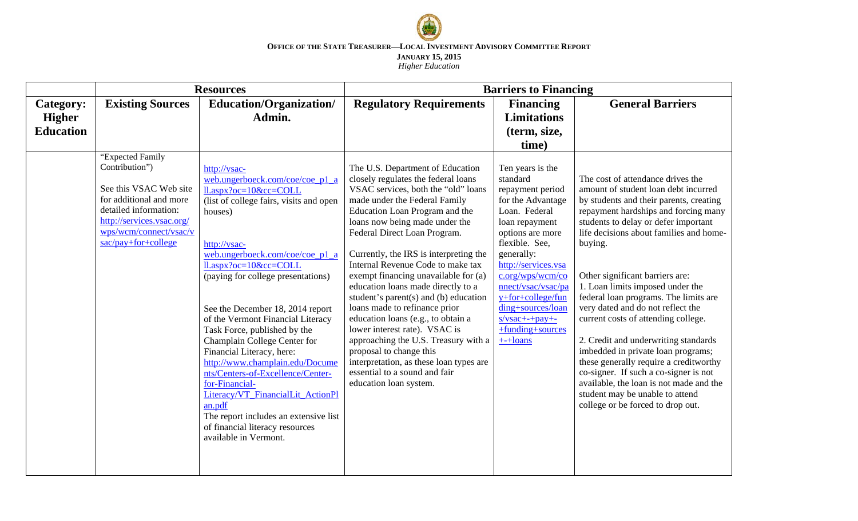

#### **OFFICE OF THE STATE TREASURER—LOCAL INVESTMENT ADVISORY COMMITTEE REPORT JANUARY 15, 2015** *Higher Education*

|                  | <b>Resources</b>                                                                                                                                                                               |                                                                                                                                                                                                                                                                                                                                                                                                                                                                                                                                                                                                                                                                                    | <b>Barriers to Financing</b>                                                                                                                                                                                                                                                                                                                                                                                                                                                                                                                                                                                                                                                                                                                    |                                                                                                                                                                                                                                                                                                                              |                                                                                                                                                                                                                                                                                                                                                                                                                                                                                                                                                                                                                                                                                                                                            |  |
|------------------|------------------------------------------------------------------------------------------------------------------------------------------------------------------------------------------------|------------------------------------------------------------------------------------------------------------------------------------------------------------------------------------------------------------------------------------------------------------------------------------------------------------------------------------------------------------------------------------------------------------------------------------------------------------------------------------------------------------------------------------------------------------------------------------------------------------------------------------------------------------------------------------|-------------------------------------------------------------------------------------------------------------------------------------------------------------------------------------------------------------------------------------------------------------------------------------------------------------------------------------------------------------------------------------------------------------------------------------------------------------------------------------------------------------------------------------------------------------------------------------------------------------------------------------------------------------------------------------------------------------------------------------------------|------------------------------------------------------------------------------------------------------------------------------------------------------------------------------------------------------------------------------------------------------------------------------------------------------------------------------|--------------------------------------------------------------------------------------------------------------------------------------------------------------------------------------------------------------------------------------------------------------------------------------------------------------------------------------------------------------------------------------------------------------------------------------------------------------------------------------------------------------------------------------------------------------------------------------------------------------------------------------------------------------------------------------------------------------------------------------------|--|
| <b>Category:</b> | <b>Existing Sources</b>                                                                                                                                                                        | Education/Organization/                                                                                                                                                                                                                                                                                                                                                                                                                                                                                                                                                                                                                                                            | <b>Regulatory Requirements</b>                                                                                                                                                                                                                                                                                                                                                                                                                                                                                                                                                                                                                                                                                                                  | <b>Financing</b>                                                                                                                                                                                                                                                                                                             | <b>General Barriers</b>                                                                                                                                                                                                                                                                                                                                                                                                                                                                                                                                                                                                                                                                                                                    |  |
| <b>Higher</b>    |                                                                                                                                                                                                | Admin.                                                                                                                                                                                                                                                                                                                                                                                                                                                                                                                                                                                                                                                                             |                                                                                                                                                                                                                                                                                                                                                                                                                                                                                                                                                                                                                                                                                                                                                 | <b>Limitations</b>                                                                                                                                                                                                                                                                                                           |                                                                                                                                                                                                                                                                                                                                                                                                                                                                                                                                                                                                                                                                                                                                            |  |
| <b>Education</b> |                                                                                                                                                                                                |                                                                                                                                                                                                                                                                                                                                                                                                                                                                                                                                                                                                                                                                                    |                                                                                                                                                                                                                                                                                                                                                                                                                                                                                                                                                                                                                                                                                                                                                 | (term, size,                                                                                                                                                                                                                                                                                                                 |                                                                                                                                                                                                                                                                                                                                                                                                                                                                                                                                                                                                                                                                                                                                            |  |
|                  |                                                                                                                                                                                                |                                                                                                                                                                                                                                                                                                                                                                                                                                                                                                                                                                                                                                                                                    |                                                                                                                                                                                                                                                                                                                                                                                                                                                                                                                                                                                                                                                                                                                                                 | time)                                                                                                                                                                                                                                                                                                                        |                                                                                                                                                                                                                                                                                                                                                                                                                                                                                                                                                                                                                                                                                                                                            |  |
|                  | "Expected Family<br>Contribution")<br>See this VSAC Web site<br>for additional and more<br>detailed information:<br>http://services.vsac.org/<br>wps/wcm/connect/vsac/v<br>sac/pay+for+college | http://vsac-<br>web.ungerboeck.com/coe/coe_p1_a<br>$ll.$ aspx?oc= $10$ &cc=COLL<br>(list of college fairs, visits and open<br>houses)<br>http://vsac-<br>web.ungerboeck.com/coe/coe_p1_a<br>$ll.$ aspx?oc= $10$ &cc=COLL<br>(paying for college presentations)<br>See the December 18, 2014 report<br>of the Vermont Financial Literacy<br>Task Force, published by the<br>Champlain College Center for<br>Financial Literacy, here:<br>http://www.champlain.edu/Docume<br>nts/Centers-of-Excellence/Center-<br>for-Financial-<br>Literacy/VT FinancialLit ActionPl<br>an.pdf<br>The report includes an extensive list<br>of financial literacy resources<br>available in Vermont. | The U.S. Department of Education<br>closely regulates the federal loans<br>VSAC services, both the "old" loans<br>made under the Federal Family<br>Education Loan Program and the<br>loans now being made under the<br>Federal Direct Loan Program.<br>Currently, the IRS is interpreting the<br>Internal Revenue Code to make tax<br>exempt financing unavailable for (a)<br>education loans made directly to a<br>student's parent $(s)$ and $(b)$ education<br>loans made to refinance prior<br>education loans (e.g., to obtain a<br>lower interest rate). VSAC is<br>approaching the U.S. Treasury with a<br>proposal to change this<br>interpretation, as these loan types are<br>essential to a sound and fair<br>education loan system. | Ten years is the<br>standard<br>repayment period<br>for the Advantage<br>Loan. Federal<br>loan repayment<br>options are more<br>flexible. See,<br>generally:<br>http://services.vsa<br>c.org/wps/wcm/co<br>nnect/vsac/vsac/pa<br>y+for+college/fun<br>ding+sources/loan<br>$s/vsac++pay+-$<br>+funding+sources<br>$++$ loans | The cost of attendance drives the<br>amount of student loan debt incurred<br>by students and their parents, creating<br>repayment hardships and forcing many<br>students to delay or defer important<br>life decisions about families and home-<br>buying.<br>Other significant barriers are:<br>1. Loan limits imposed under the<br>federal loan programs. The limits are<br>very dated and do not reflect the<br>current costs of attending college.<br>2. Credit and underwriting standards<br>imbedded in private loan programs;<br>these generally require a creditworthy<br>co-signer. If such a co-signer is not<br>available, the loan is not made and the<br>student may be unable to attend<br>college or be forced to drop out. |  |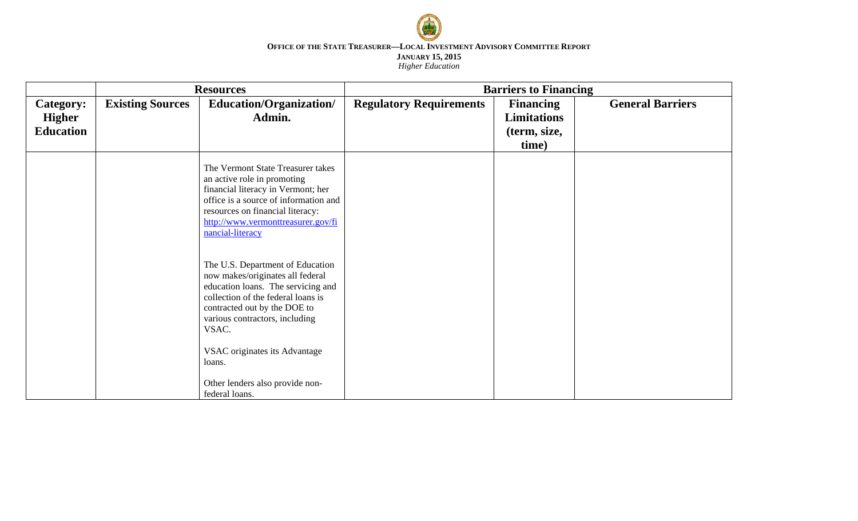

#### **OFFICE OF THE STATE TREASURER—LOCAL INVESTMENT ADVISORY COMMITTEE REPORT JANUARY 15, 2015** *Higher Education*

|                                                       | <b>Resources</b>        |                                                                                                                                                                                                                                               | <b>Barriers to Financing</b>   |                                                                 |                         |  |
|-------------------------------------------------------|-------------------------|-----------------------------------------------------------------------------------------------------------------------------------------------------------------------------------------------------------------------------------------------|--------------------------------|-----------------------------------------------------------------|-------------------------|--|
| <b>Category:</b><br><b>Higher</b><br><b>Education</b> | <b>Existing Sources</b> | Education/Organization/<br>Admin.                                                                                                                                                                                                             | <b>Regulatory Requirements</b> | <b>Financing</b><br><b>Limitations</b><br>(term, size,<br>time) | <b>General Barriers</b> |  |
|                                                       |                         | The Vermont State Treasurer takes<br>an active role in promoting<br>financial literacy in Vermont; her<br>office is a source of information and<br>resources on financial literacy:<br>http://www.vermonttreasurer.gov/fi<br>nancial-literacy |                                |                                                                 |                         |  |
|                                                       |                         | The U.S. Department of Education<br>now makes/originates all federal<br>education loans. The servicing and<br>collection of the federal loans is<br>contracted out by the DOE to<br>various contractors, including<br>VSAC.                   |                                |                                                                 |                         |  |
|                                                       |                         | VSAC originates its Advantage<br>loans.<br>Other lenders also provide non-<br>federal loans.                                                                                                                                                  |                                |                                                                 |                         |  |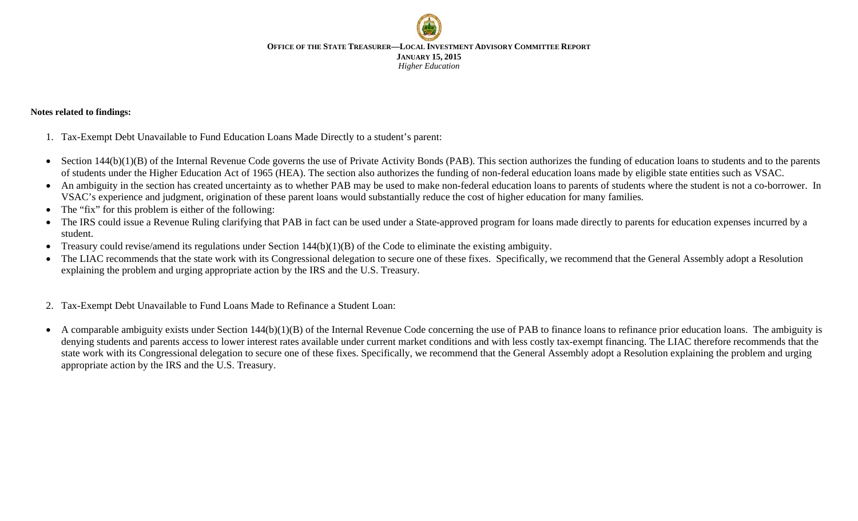**OFFICE OF THE STATE TREASURER—LOCAL INVESTMENT ADVISORY COMMITTEE REPORT JANUARY 15, 2015** *Higher Education*

### **Notes related to findings:**

- 1. Tax-Exempt Debt Unavailable to Fund Education Loans Made Directly to a student's parent:
- Section  $144(b)(1)(B)$  of the Internal Revenue Code governs the use of Private Activity Bonds (PAB). This section authorizes the funding of education loans to students and to the parents of students under the Higher Education Act of 1965 (HEA). The section also authorizes the funding of non-federal education loans made by eligible state entities such as VSAC.
- An ambiguity in the section has created uncertainty as to whether PAB may be used to make non-federal education loans to parents of students where the student is not a co-borrower. In VSAC's experience and judgment, origination of these parent loans would substantially reduce the cost of higher education for many families.
- The "fix" for this problem is either of the following:
- The IRS could issue a Revenue Ruling clarifying that PAB in fact can be used under a State-approved program for loans made directly to parents for education expenses incurred by a student.
- Treasury could revise/amend its regulations under Section 144(b)(1)(B) of the Code to eliminate the existing ambiguity.
- The LIAC recommends that the state work with its Congressional delegation to secure one of these fixes. Specifically, we recommend that the General Assembly adopt a Resolution explaining the problem and urging appropriate action by the IRS and the U.S. Treasury.
- 2. Tax-Exempt Debt Unavailable to Fund Loans Made to Refinance a Student Loan:
- A comparable ambiguity exists under Section 144(b)(1)(B) of the Internal Revenue Code concerning the use of PAB to finance loans to refinance prior education loans. The ambiguity is denying students and parents access to lower interest rates available under current market conditions and with less costly tax-exempt financing. The LIAC therefore recommends that the state work with its Congressional delegation to secure one of these fixes. Specifically, we recommend that the General Assembly adopt a Resolution explaining the problem and urging appropriate action by the IRS and the U.S. Treasury.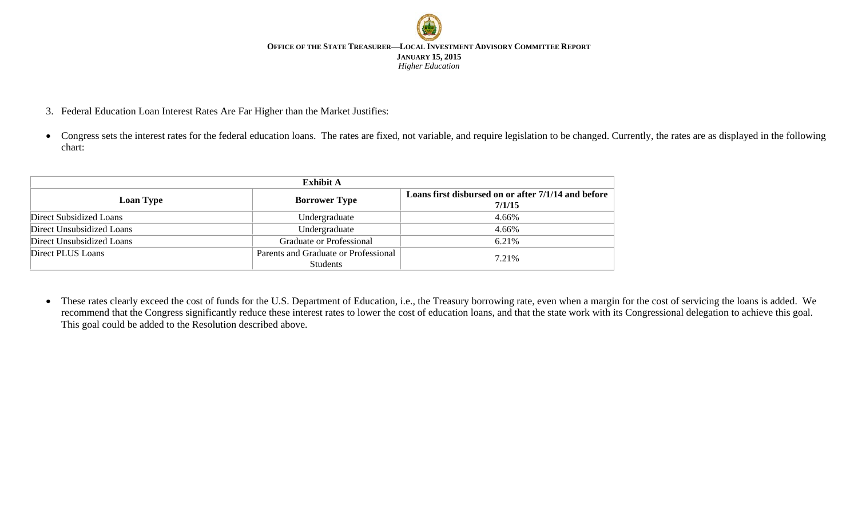

- 3. Federal Education Loan Interest Rates Are Far Higher than the Market Justifies:
- Congress sets the interest rates for the federal education loans. The rates are fixed, not variable, and require legislation to be changed. Currently, the rates are as displayed in the following chart:

| <b>Exhibit A</b>          |                                                  |                                                               |  |  |  |  |  |
|---------------------------|--------------------------------------------------|---------------------------------------------------------------|--|--|--|--|--|
| <b>Loan Type</b>          | <b>Borrower Type</b>                             | Loans first disbursed on or after 7/1/14 and before<br>7/1/15 |  |  |  |  |  |
| Direct Subsidized Loans   | Undergraduate                                    | 4.66%                                                         |  |  |  |  |  |
| Direct Unsubsidized Loans | Undergraduate                                    | 4.66%                                                         |  |  |  |  |  |
| Direct Unsubsidized Loans | <b>Graduate or Professional</b>                  | 6.21%                                                         |  |  |  |  |  |
| Direct PLUS Loans         | Parents and Graduate or Professional<br>Students | 7.21%                                                         |  |  |  |  |  |

• These rates clearly exceed the cost of funds for the U.S. Department of Education, i.e., the Treasury borrowing rate, even when a margin for the cost of servicing the loans is added. We recommend that the Congress significantly reduce these interest rates to lower the cost of education loans, and that the state work with its Congressional delegation to achieve this goal. This goal could be added to the Resolution described above.